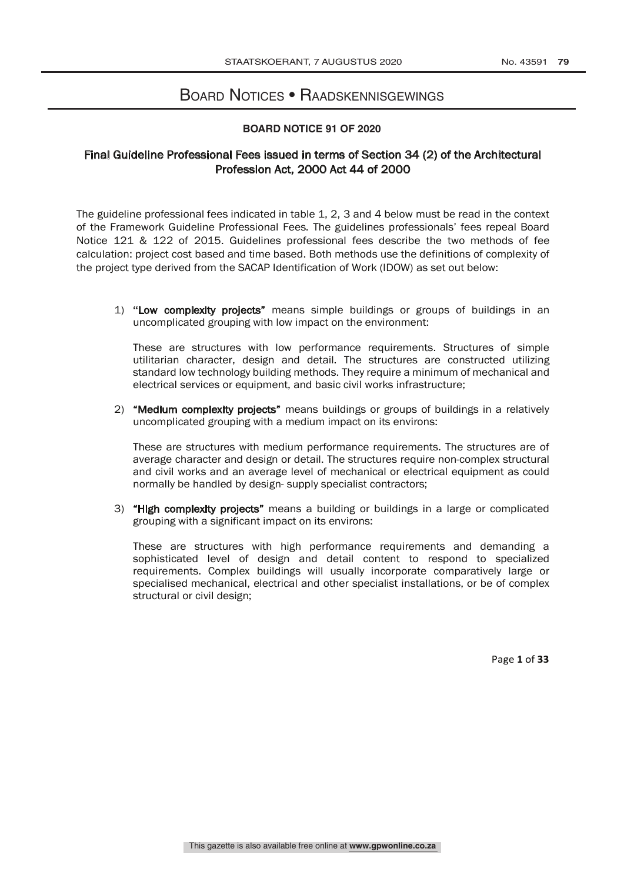# BOARD NOTICES • RAADSKENNISGEWINGS

#### **BOARD NOTICE 91 OF 2020**

## Final Guideline Professional Fees issued in terms of Section 34 (2) of the Architectural Profession Act, 2000 Act 44 of 2000

The guideline professional fees indicated in table 1, 2, 3 and 4 below must be read in the context of the Framework Guideline Professional Fees. The guidelines professionals' fees repeal Board Notice 121 & 122 of 2015. Guidelines professional fees describe the two methods of fee calculation: project cost based and time based. Both methods use the definitions of complexity of the project type derived from the SACAP Identification of Work (IDOW) as set out below:

1) **"**Low complexity projects" means simple buildings or groups of buildings in an uncomplicated grouping with low impact on the environment:

These are structures with low performance requirements. Structures of simple utilitarian character, design and detail. The structures are constructed utilizing standard low technology building methods. They require a minimum of mechanical and electrical services or equipment, and basic civil works infrastructure;

2) "Medium complexity projects" means buildings or groups of buildings in a relatively uncomplicated grouping with a medium impact on its environs:

These are structures with medium performance requirements. The structures are of average character and design or detail. The structures require non-complex structural and civil works and an average level of mechanical or electrical equipment as could normally be handled by design- supply specialist contractors;

3) "High complexity projects" means a building or buildings in a large or complicated grouping with a significant impact on its environs:

These are structures with high performance requirements and demanding a sophisticated level of design and detail content to respond to specialized requirements. Complex buildings will usually incorporate comparatively large or specialised mechanical, electrical and other specialist installations, or be of complex structural or civil design;

Page **1** of **33**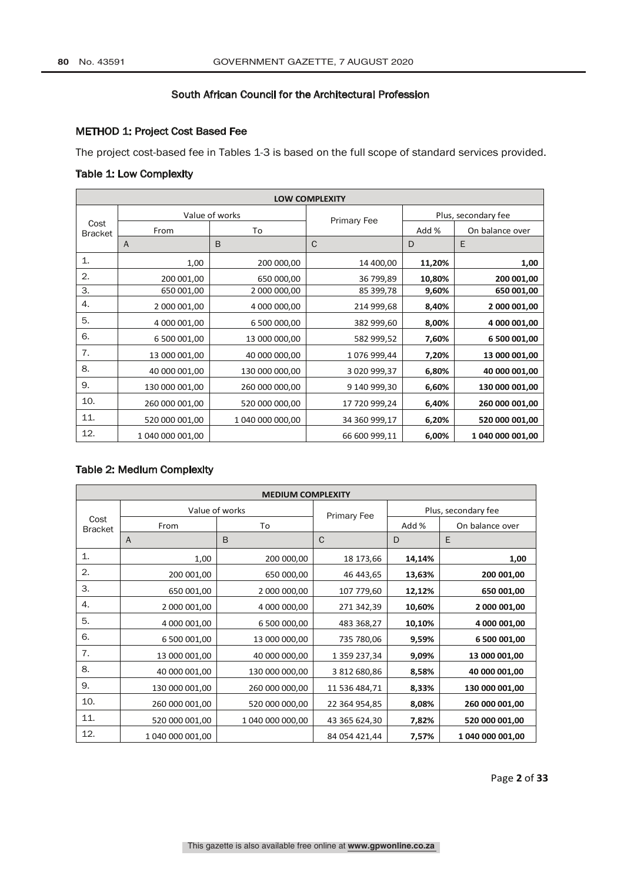## METHOD 1: Project Cost Based Fee

The project cost-based fee in Tables 1-3 is based on the full scope of standard services provided.

## Table 1: Low Complexity

| <b>LOW COMPLEXITY</b>  |                  |                  |                    |        |                     |  |
|------------------------|------------------|------------------|--------------------|--------|---------------------|--|
|                        |                  | Value of works   | <b>Primary Fee</b> |        | Plus, secondary fee |  |
| Cost<br><b>Bracket</b> | From             | To               |                    | Add %  | On balance over     |  |
|                        | A                | B                | $\mathsf{C}$       | D      | E                   |  |
| $\mathbf{1}$           | 1,00             | 200 000,00       | 14 400,00          | 11,20% | 1,00                |  |
| 2.                     | 200 001,00       | 650 000,00       | 36 799,89          | 10,80% | 200 001,00          |  |
| 3.                     | 650 001,00       | 2 000 000,00     | 85 399,78          | 9,60%  | 650 001,00          |  |
| 4.                     | 2 000 001,00     | 4 000 000,00     | 214 999,68         | 8,40%  | 2 000 001,00        |  |
| 5.                     | 4 000 001,00     | 6 500 000,00     | 382 999,60         | 8,00%  | 4 000 001,00        |  |
| 6.                     | 6 500 001,00     | 13 000 000,00    | 582 999,52         | 7,60%  | 6 500 001,00        |  |
| 7.                     | 13 000 001,00    | 40 000 000,00    | 1076999,44         | 7,20%  | 13 000 001,00       |  |
| 8.                     | 40 000 001,00    | 130 000 000,00   | 3 020 999,37       | 6,80%  | 40 000 001,00       |  |
| 9.                     | 130 000 001,00   | 260 000 000,00   | 9 140 999,30       | 6,60%  | 130 000 001,00      |  |
| 10.                    | 260 000 001,00   | 520 000 000,00   | 17 720 999,24      | 6,40%  | 260 000 001,00      |  |
| 11.                    | 520 000 001,00   | 1 040 000 000,00 | 34 360 999,17      | 6,20%  | 520 000 001,00      |  |
| 12.                    | 1 040 000 001,00 |                  | 66 600 999,11      | 6,00%  | 1 040 000 001,00    |  |

## Table 2: Medium Complexity

| <b>MEDIUM COMPLEXITY</b> |                  |                    |                     |        |                  |
|--------------------------|------------------|--------------------|---------------------|--------|------------------|
|                          | Value of works   | <b>Primary Fee</b> | Plus, secondary fee |        |                  |
| Cost<br><b>Bracket</b>   | From<br>To       |                    |                     | Add %  | On balance over  |
|                          | $\overline{A}$   | B                  | C                   | D      | E                |
| 1.                       | 1,00             | 200 000,00         | 18 173,66           | 14,14% | 1,00             |
| 2.                       | 200 001,00       | 650 000,00         | 46 443,65           | 13,63% | 200 001,00       |
| 3.                       | 650 001,00       | 2 000 000,00       | 107 779,60          | 12,12% | 650 001,00       |
| 4.                       | 2 000 001,00     | 4 000 000,00       | 271 342,39          | 10,60% | 2 000 001,00     |
| 5.                       | 4 000 001,00     | 6 500 000,00       | 483 368,27          | 10,10% | 4 000 001,00     |
| 6.                       | 6 500 001,00     | 13 000 000,00      | 735 780,06          | 9,59%  | 6 500 001,00     |
| 7.                       | 13 000 001,00    | 40 000 000,00      | 1 359 237,34        | 9,09%  | 13 000 001,00    |
| 8.                       | 40 000 001,00    | 130 000 000,00     | 3 812 680,86        | 8,58%  | 40 000 001,00    |
| 9.                       | 130 000 001,00   | 260 000 000,00     | 11 536 484,71       | 8,33%  | 130 000 001,00   |
| 10.                      | 260 000 001,00   | 520 000 000,00     | 22 364 954,85       | 8,08%  | 260 000 001,00   |
| 11.                      | 520 000 001,00   | 1 040 000 000,00   | 43 365 624,30       | 7,82%  | 520 000 001,00   |
| 12.                      | 1 040 000 001,00 |                    | 84 054 421,44       | 7,57%  | 1 040 000 001,00 |

Page **2** of **33**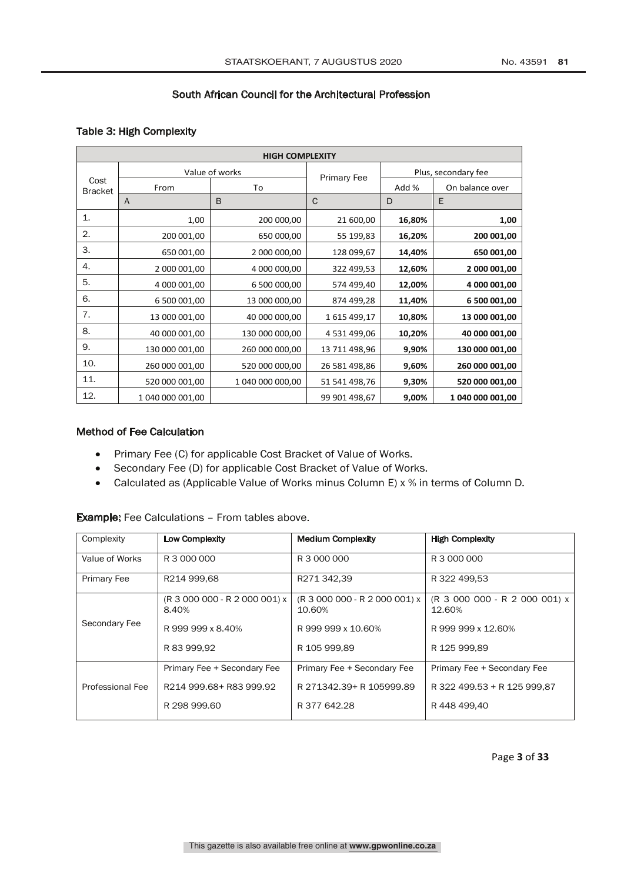## Table 3: High Complexity

|                        | <b>HIGH COMPLEXITY</b> |                    |               |                     |                  |  |
|------------------------|------------------------|--------------------|---------------|---------------------|------------------|--|
|                        | Value of works         | <b>Primary Fee</b> |               | Plus, secondary fee |                  |  |
| Cost<br><b>Bracket</b> | From                   | To                 |               | Add %               | On balance over  |  |
|                        | A                      | B                  | $\mathsf{C}$  | D                   | E                |  |
| $\mathbf{1}$           | 1,00                   | 200 000,00         | 21 600,00     | 16,80%              | 1,00             |  |
| 2.                     | 200 001,00             | 650 000,00         | 55 199,83     | 16,20%              | 200 001,00       |  |
| 3.                     | 650 001,00             | 2 000 000,00       | 128 099,67    | 14,40%              | 650 001,00       |  |
| 4.                     | 2 000 001,00           | 4 000 000,00       | 322 499,53    | 12,60%              | 2 000 001,00     |  |
| 5.                     | 4 000 001,00           | 6 500 000,00       | 574 499,40    | 12,00%              | 4 000 001,00     |  |
| 6.                     | 6 500 001,00           | 13 000 000,00      | 874 499,28    | 11,40%              | 6 500 001,00     |  |
| 7.                     | 13 000 001,00          | 40 000 000,00      | 1615499,17    | 10,80%              | 13 000 001,00    |  |
| 8.                     | 40 000 001,00          | 130 000 000,00     | 4 531 499,06  | 10,20%              | 40 000 001,00    |  |
| 9.                     | 130 000 001,00         | 260 000 000,00     | 13 711 498,96 | 9,90%               | 130 000 001,00   |  |
| 10.                    | 260 000 001,00         | 520 000 000,00     | 26 581 498,86 | 9,60%               | 260 000 001,00   |  |
| 11.                    | 520 000 001,00         | 1 040 000 000,00   | 51 541 498,76 | 9,30%               | 520 000 001,00   |  |
| 12.                    | 1 040 000 001,00       |                    | 99 901 498,67 | 9,00%               | 1 040 000 001,00 |  |

## Method of Fee Calculation

- Primary Fee (C) for applicable Cost Bracket of Value of Works.
- Secondary Fee (D) for applicable Cost Bracket of Value of Works.
- Calculated as (Applicable Value of Works minus Column E) x % in terms of Column D.

| Complexity       | Low Complexity                         | <b>Medium Complexity</b>                | <b>High Complexity</b>                  |
|------------------|----------------------------------------|-----------------------------------------|-----------------------------------------|
| Value of Works   | R 3 000 000                            | R 3 000 000                             | R 3 000 000                             |
| Primary Fee      | R214 999.68                            | R271 342.39                             | R 322 499,53                            |
|                  | (R 3 000 000 - R 2 000 001) x<br>8.40% | (R 3 000 000 - R 2 000 001) x<br>10.60% | (R 3 000 000 - R 2 000 001) x<br>12.60% |
| Secondary Fee    | R 999 999 x 8.40%                      | R 999 999 x 10.60%                      | R 999 999 x 12.60%                      |
|                  | R 83 999,92                            | R 105 999,89                            | R 125 999,89                            |
|                  | Primary Fee + Secondary Fee            | Primary Fee + Secondary Fee             | Primary Fee + Secondary Fee             |
| Professional Fee | R214 999.68+ R83 999.92                | R 271342.39+ R 105999.89                | R 322 499.53 + R 125 999.87             |
|                  | R 298 999.60                           | R 377 642.28                            | R 448 499.40                            |

Example: Fee Calculations – From tables above.

Page **3** of **33**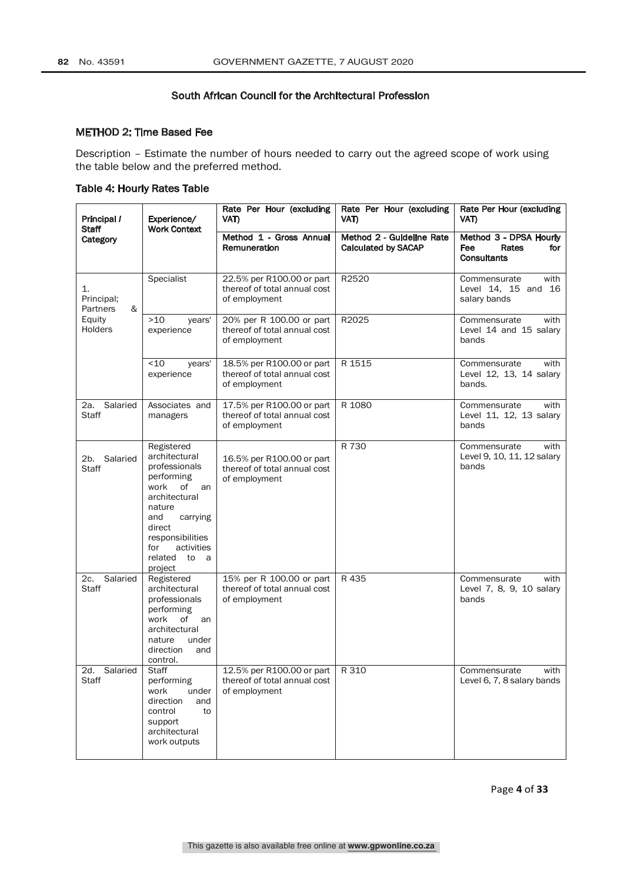#### METHOD 2: Time Based Fee

Description – Estimate the number of hours needed to carry out the agreed scope of work using the table below and the preferred method.

#### Table 4: Hourly Rates Table

| Principal /<br>Staff              | Experience/<br><b>Work Context</b>                                                                                                                                                                                 | Rate Per Hour (excluding<br>VAT)                                           | Rate Per Hour (excluding<br>VAT)                        | Rate Per Hour (excluding<br>VAT)                                    |
|-----------------------------------|--------------------------------------------------------------------------------------------------------------------------------------------------------------------------------------------------------------------|----------------------------------------------------------------------------|---------------------------------------------------------|---------------------------------------------------------------------|
| Category                          |                                                                                                                                                                                                                    | Method 1 - Gross Annual<br>Remuneration                                    | Method 2 - Guideline Rate<br><b>Calculated by SACAP</b> | Method 3 - DPSA Hourly<br>Fee<br>Rates<br>for<br><b>Consultants</b> |
| 1.<br>Principal;<br>&<br>Partners | Specialist                                                                                                                                                                                                         | 22.5% per R100.00 or part<br>thereof of total annual cost<br>of employment | R2520                                                   | Commensurate<br>with<br>Level 14, 15 and 16<br>salary bands         |
| Equity<br><b>Holders</b>          | >10<br>years'<br>experience                                                                                                                                                                                        | 20% per R 100.00 or part<br>thereof of total annual cost<br>of employment  | R2025                                                   | Commensurate<br>with<br>Level 14 and 15 salary<br>bands             |
|                                   | ~10<br>years'<br>experience                                                                                                                                                                                        | 18.5% per R100.00 or part<br>thereof of total annual cost<br>of employment | R 1515                                                  | Commensurate<br>with<br>Level 12, 13, 14 salary<br>bands.           |
| Salaried<br>2a.<br>Staff          | Associates and<br>managers                                                                                                                                                                                         | 17.5% per R100.00 or part<br>thereof of total annual cost<br>of employment | R 1080                                                  | Commensurate<br>with<br>Level 11, 12, 13 salary<br>bands            |
| Salaried<br>2b.<br>Staff          | Registered<br>architectural<br>professionals<br>performing<br>work<br>of<br>an<br>architectural<br>nature<br>and<br>carrying<br>direct<br>responsibilities<br>activities<br>for<br>related<br>to<br>- a<br>project | 16.5% per R100.00 or part<br>thereof of total annual cost<br>of employment | R 730                                                   | Commensurate<br>with<br>Level 9, 10, 11, 12 salary<br>bands         |
| Salaried<br>2c.<br>Staff          | Registered<br>architectural<br>professionals<br>performing<br>of<br>work<br>an<br>architectural<br>nature<br>under<br>direction<br>and<br>control.                                                                 | 15% per R 100.00 or part<br>thereof of total annual cost<br>of employment  | R 435                                                   | Commensurate<br>with<br>Level 7, 8, 9, 10 salary<br>bands           |
| 2d.<br>Salaried<br>Staff          | Staff<br>performing<br>work<br>under<br>direction<br>and<br>control<br>to<br>support<br>architectural<br>work outputs                                                                                              | 12.5% per R100.00 or part<br>thereof of total annual cost<br>of employment | R 310                                                   | Commensurate<br>with<br>Level 6, 7, 8 salary bands                  |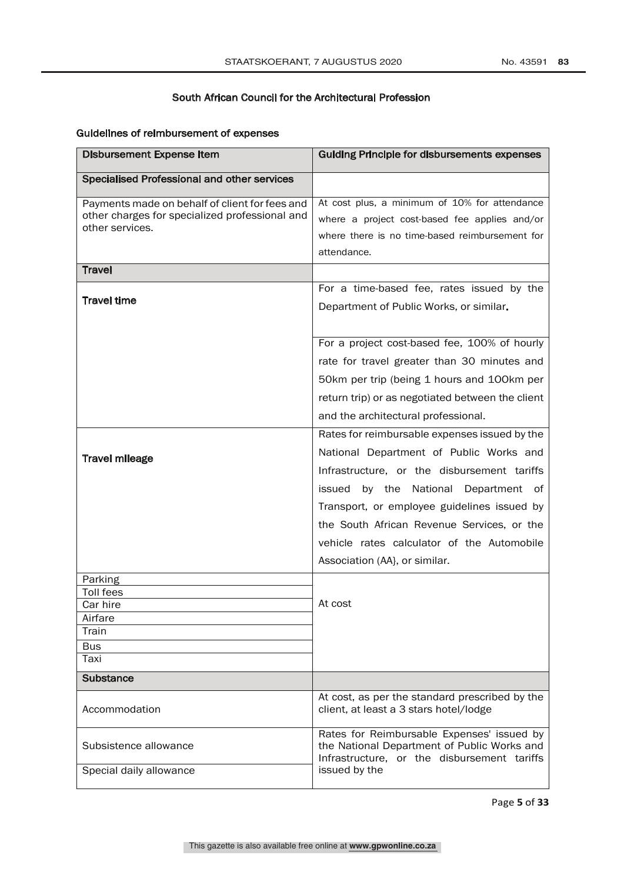## Guidelines of reimbursement of expenses

| <b>Disbursement Expense Item</b>                                                                                    | <b>Guiding Principle for disbursements expenses</b>                                                                                                                                                                                                                                                                                                            |
|---------------------------------------------------------------------------------------------------------------------|----------------------------------------------------------------------------------------------------------------------------------------------------------------------------------------------------------------------------------------------------------------------------------------------------------------------------------------------------------------|
| Specialised Professional and other services                                                                         |                                                                                                                                                                                                                                                                                                                                                                |
| Payments made on behalf of client for fees and<br>other charges for specialized professional and<br>other services. | At cost plus, a minimum of 10% for attendance<br>where a project cost-based fee applies and/or<br>where there is no time-based reimbursement for<br>attendance.                                                                                                                                                                                                |
| <b>Travel</b>                                                                                                       |                                                                                                                                                                                                                                                                                                                                                                |
| <b>Travel time</b>                                                                                                  | For a time-based fee, rates issued by the<br>Department of Public Works, or similar.                                                                                                                                                                                                                                                                           |
|                                                                                                                     | For a project cost-based fee, 100% of hourly<br>rate for travel greater than 30 minutes and<br>50km per trip (being 1 hours and 100km per<br>return trip) or as negotiated between the client<br>and the architectural professional.                                                                                                                           |
| <b>Travel mileage</b>                                                                                               | Rates for reimbursable expenses issued by the<br>National Department of Public Works and<br>Infrastructure, or the disbursement tariffs<br>by the National Department of<br>issued<br>Transport, or employee guidelines issued by<br>the South African Revenue Services, or the<br>vehicle rates calculator of the Automobile<br>Association (AA), or similar. |
| Parking<br>Toll fees<br>Car hire<br>Airfare<br>Train<br><b>Bus</b><br>Taxi                                          | At cost                                                                                                                                                                                                                                                                                                                                                        |
| Substance                                                                                                           |                                                                                                                                                                                                                                                                                                                                                                |
| Accommodation                                                                                                       | At cost, as per the standard prescribed by the<br>client, at least a 3 stars hotel/lodge                                                                                                                                                                                                                                                                       |
| Subsistence allowance<br>Special daily allowance                                                                    | Rates for Reimbursable Expenses' issued by<br>the National Department of Public Works and<br>Infrastructure, or the disbursement tariffs<br>issued by the                                                                                                                                                                                                      |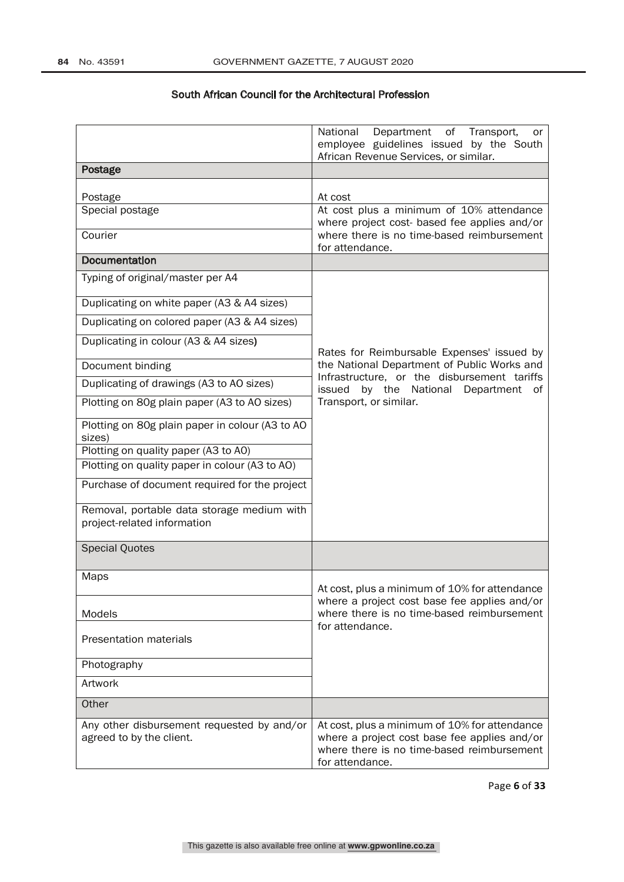|                                                                           | National<br>Department<br>of Transport,<br>or<br>employee guidelines issued by the South<br>African Revenue Services, or similar.                              |  |
|---------------------------------------------------------------------------|----------------------------------------------------------------------------------------------------------------------------------------------------------------|--|
| Postage                                                                   |                                                                                                                                                                |  |
| Postage                                                                   | At cost                                                                                                                                                        |  |
| Special postage                                                           | At cost plus a minimum of 10% attendance<br>where project cost- based fee applies and/or                                                                       |  |
| Courier                                                                   | where there is no time-based reimbursement<br>for attendance.                                                                                                  |  |
| <b>Documentation</b>                                                      |                                                                                                                                                                |  |
| Typing of original/master per A4                                          |                                                                                                                                                                |  |
| Duplicating on white paper (A3 & A4 sizes)                                |                                                                                                                                                                |  |
| Duplicating on colored paper (A3 & A4 sizes)                              |                                                                                                                                                                |  |
| Duplicating in colour (A3 & A4 sizes)                                     | Rates for Reimbursable Expenses' issued by                                                                                                                     |  |
| Document binding                                                          | the National Department of Public Works and                                                                                                                    |  |
| Duplicating of drawings (A3 to A0 sizes)                                  | Infrastructure, or the disbursement tariffs<br>issued<br>by the National<br>Department<br>οf                                                                   |  |
| Plotting on 80g plain paper (A3 to A0 sizes)                              | Transport, or similar.                                                                                                                                         |  |
| Plotting on 80g plain paper in colour (A3 to A0<br>sizes)                 |                                                                                                                                                                |  |
| Plotting on quality paper (A3 to A0)                                      |                                                                                                                                                                |  |
| Plotting on quality paper in colour (A3 to AO)                            |                                                                                                                                                                |  |
| Purchase of document required for the project                             |                                                                                                                                                                |  |
| Removal, portable data storage medium with<br>project-related information |                                                                                                                                                                |  |
| <b>Special Quotes</b>                                                     |                                                                                                                                                                |  |
| Maps                                                                      | At cost, plus a minimum of 10% for attendance                                                                                                                  |  |
|                                                                           | where a project cost base fee applies and/or                                                                                                                   |  |
| Models                                                                    | where there is no time-based reimbursement                                                                                                                     |  |
| <b>Presentation materials</b>                                             | for attendance.                                                                                                                                                |  |
| Photography                                                               |                                                                                                                                                                |  |
| Artwork                                                                   |                                                                                                                                                                |  |
| Other                                                                     |                                                                                                                                                                |  |
| Any other disbursement requested by and/or<br>agreed to by the client.    | At cost, plus a minimum of 10% for attendance<br>where a project cost base fee applies and/or<br>where there is no time-based reimbursement<br>for attendance. |  |

Page **6** of **33**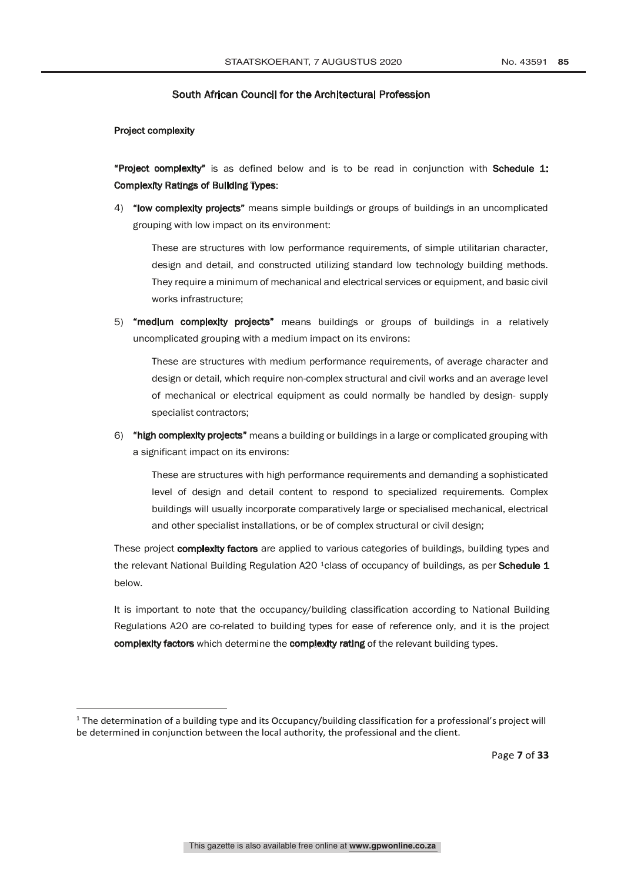Project complexity

"Project complexity" is as defined below and is to be read in conjunction with Schedule 1: Complexity Ratings of Building Types:

4) "low complexity projects" means simple buildings or groups of buildings in an uncomplicated grouping with low impact on its environment:

These are structures with low performance requirements, of simple utilitarian character, design and detail, and constructed utilizing standard low technology building methods. They require a minimum of mechanical and electrical services or equipment, and basic civil works infrastructure;

5) "medium complexity projects" means buildings or groups of buildings in a relatively uncomplicated grouping with a medium impact on its environs:

These are structures with medium performance requirements, of average character and design or detail, which require non-complex structural and civil works and an average level of mechanical or electrical equipment as could normally be handled by design- supply specialist contractors;

6) "high complexity projects" means a building or buildings in a large or complicated grouping with a significant impact on its environs:

These are structures with high performance requirements and demanding a sophisticated level of design and detail content to respond to specialized requirements. Complex buildings will usually incorporate comparatively large or specialised mechanical, electrical and other specialist installations, or be of complex structural or civil design;

These project complexity factors are applied to various categories of buildings, building types and the relevant National Building Regulation A20 <sup>1</sup>class of occupancy of buildings, as per Schedule 1 below.

It is important to note that the occupancy/building classification according to National Building Regulations A20 are co-related to building types for ease of reference only, and it is the project complexity factors which determine the complexity rating of the relevant building types.

Page **7** of **33**

<sup>&</sup>lt;sup>1</sup> The determination of a building type and its Occupancy/building classification for a professional's project will be determined in conjunction between the local authority, the professional and the client.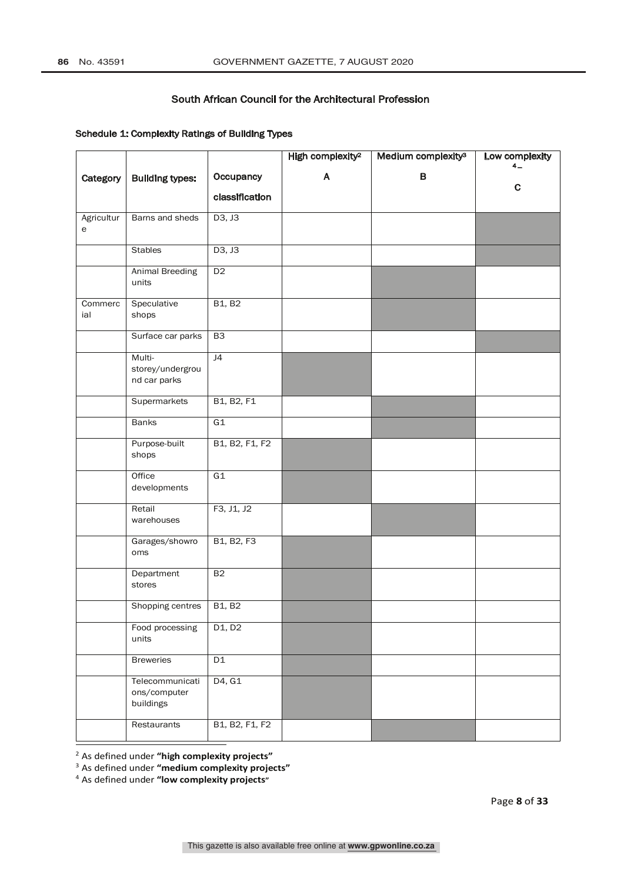## Schedule 1: Complexity Ratings of Building Types

|                 |                                              |                                 | High complexity <sup>2</sup> | Medium complexity <sup>3</sup> | Low complexity<br>$4-$ |
|-----------------|----------------------------------------------|---------------------------------|------------------------------|--------------------------------|------------------------|
| Category        | <b>Building types:</b>                       | Occupancy                       | A                            | $\, {\bf B}$                   |                        |
|                 |                                              | classification                  |                              |                                | $\mathbf c$            |
| Agricultur<br>е | Barns and sheds                              | D3, J3                          |                              |                                |                        |
|                 | <b>Stables</b>                               | D3, J3                          |                              |                                |                        |
|                 | <b>Animal Breeding</b><br>units              | D2                              |                              |                                |                        |
| Commerc<br>ial  | Speculative<br>shops                         | <b>B1, B2</b>                   |                              |                                |                        |
|                 | Surface car parks                            | B3                              |                              |                                |                        |
|                 | Multi-<br>storey/undergrou<br>nd car parks   | J4                              |                              |                                |                        |
|                 | Supermarkets                                 | B1, B2, F1                      |                              |                                |                        |
|                 | Banks                                        | G1                              |                              |                                |                        |
|                 | Purpose-built<br>shops                       | B1, B2, F1, F2                  |                              |                                |                        |
|                 | Office<br>developments                       | G1                              |                              |                                |                        |
|                 | Retail<br>warehouses                         | F3, J1, J2                      |                              |                                |                        |
|                 | Garages/showro<br>oms                        | B1, B2, F3                      |                              |                                |                        |
|                 | Department<br>stores                         | B2                              |                              |                                |                        |
|                 | Shopping centres                             | <b>B1, B2</b>                   |                              |                                |                        |
|                 | Food processing<br>units                     | D <sub>1</sub> , D <sub>2</sub> |                              |                                |                        |
|                 | <b>Breweries</b>                             | D1                              |                              |                                |                        |
|                 | Telecommunicati<br>ons/computer<br>buildings | D4, G1                          |                              |                                |                        |
|                 | Restaurants                                  | B1, B2, F1, F2                  |                              |                                |                        |

<sup>2</sup> As defined under **"high complexity projects"**

<sup>3</sup> As defined under **"medium complexity projects"**

<sup>4</sup> As defined under **"low complexity projects"**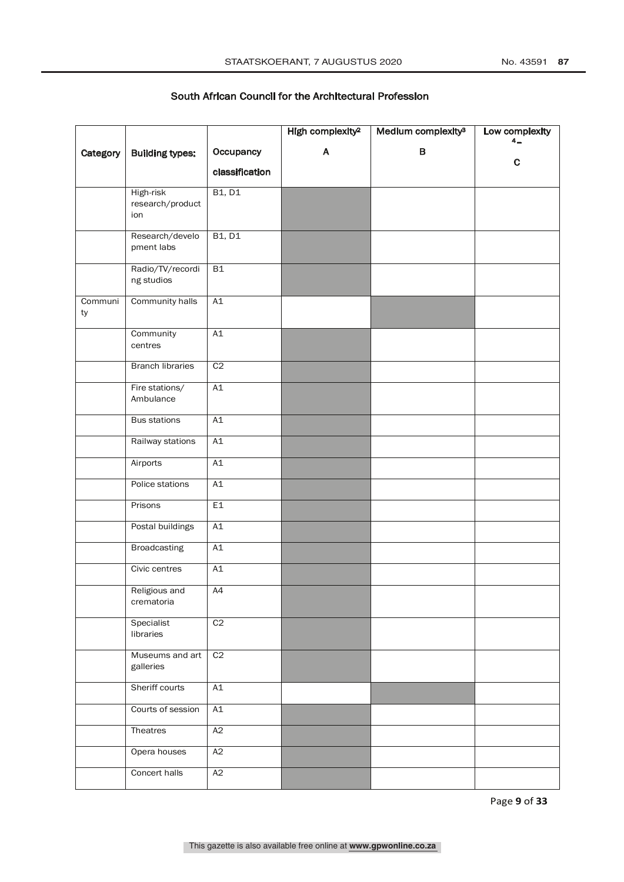|               |                                      |                | High complexity <sup>2</sup> | Medium complexity <sup>3</sup> | Low complexity<br>$4-$ |
|---------------|--------------------------------------|----------------|------------------------------|--------------------------------|------------------------|
| Category      | <b>Building types:</b>               | Occupancy      | A                            | B                              |                        |
|               |                                      | classification |                              |                                | C                      |
|               |                                      |                |                              |                                |                        |
|               | High-risk<br>research/product<br>ion | <b>B1, D1</b>  |                              |                                |                        |
|               | Research/develo<br>pment labs        | <b>B1, D1</b>  |                              |                                |                        |
|               | Radio/TV/recordi<br>ng studios       | B1             |                              |                                |                        |
| Communi<br>ty | Community halls                      | A1             |                              |                                |                        |
|               | Community<br>centres                 | A1             |                              |                                |                        |
|               | <b>Branch libraries</b>              | C <sub>2</sub> |                              |                                |                        |
|               | Fire stations/<br>Ambulance          | A1             |                              |                                |                        |
|               | <b>Bus stations</b>                  | A1             |                              |                                |                        |
|               | Railway stations                     | A1             |                              |                                |                        |
|               | Airports                             | A1             |                              |                                |                        |
|               | Police stations                      | A1             |                              |                                |                        |
|               | Prisons                              | E1             |                              |                                |                        |
|               | Postal buildings                     | A1             |                              |                                |                        |
|               | <b>Broadcasting</b>                  | A1             |                              |                                |                        |
|               | Civic centres                        | A1             |                              |                                |                        |
|               | Religious and<br>crematoria          | A4             |                              |                                |                        |
|               | Specialist<br>libraries              | C <sub>2</sub> |                              |                                |                        |
|               | Museums and art<br>galleries         | C2             |                              |                                |                        |
|               | Sheriff courts                       | A1             |                              |                                |                        |
|               | Courts of session                    | A1             |                              |                                |                        |
|               | Theatres                             | A2             |                              |                                |                        |
|               | Opera houses                         | A2             |                              |                                |                        |
|               | Concert halls                        | A2             |                              |                                |                        |

Page **9** of **33**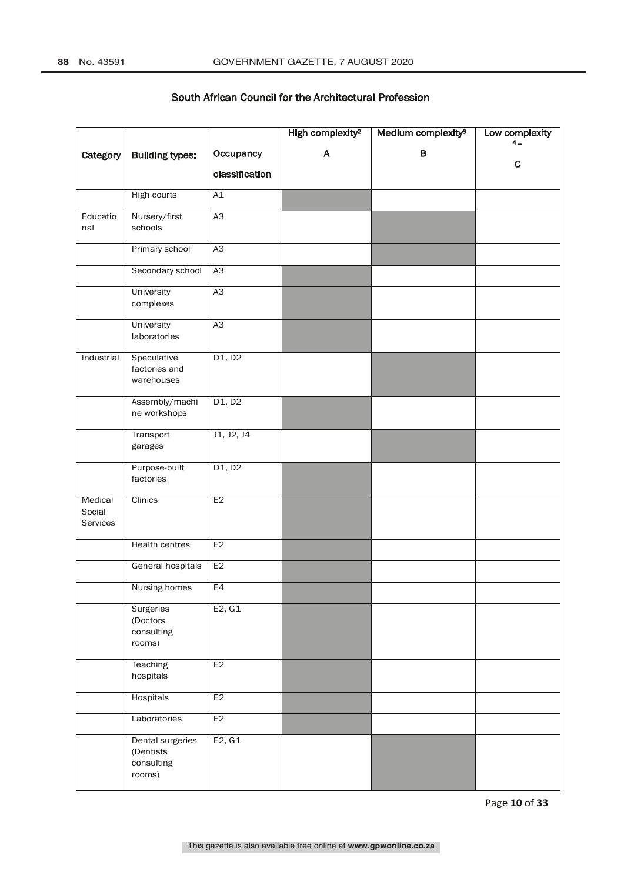|                               |                                                       |                | High complexity <sup>2</sup> | Medium complexity <sup>3</sup> | Low complexity<br>4_ |
|-------------------------------|-------------------------------------------------------|----------------|------------------------------|--------------------------------|----------------------|
| Category                      | <b>Building types:</b>                                | Occupancy      | A                            | $\, {\bf B}$                   |                      |
|                               |                                                       | classification |                              |                                | $\mathbf C$          |
|                               | High courts                                           | A1             |                              |                                |                      |
| Educatio<br>nal               | Nursery/first<br>schools                              | A3             |                              |                                |                      |
|                               | Primary school                                        | A3             |                              |                                |                      |
|                               | Secondary school                                      | A3             |                              |                                |                      |
|                               | University<br>complexes                               | A3             |                              |                                |                      |
|                               | University<br>laboratories                            | A3             |                              |                                |                      |
| Industrial                    | Speculative<br>factories and<br>warehouses            | D1, D2         |                              |                                |                      |
|                               | Assembly/machi<br>ne workshops                        | D1, D2         |                              |                                |                      |
|                               | Transport<br>garages                                  | J1, J2, J4     |                              |                                |                      |
|                               | Purpose-built<br>factories                            | D1, D2         |                              |                                |                      |
| Medical<br>Social<br>Services | Clinics                                               | E2             |                              |                                |                      |
|                               | <b>Health centres</b>                                 | E2             |                              |                                |                      |
|                               | General hospitals                                     | E <sub>2</sub> |                              |                                |                      |
|                               | Nursing homes                                         | E4             |                              |                                |                      |
|                               | Surgeries<br>(Doctors<br>consulting<br>rooms)         | E2, G1         |                              |                                |                      |
|                               | Teaching<br>hospitals                                 | E2             |                              |                                |                      |
|                               | Hospitals                                             | E <sub>2</sub> |                              |                                |                      |
|                               | Laboratories                                          | E2             |                              |                                |                      |
|                               | Dental surgeries<br>(Dentists<br>consulting<br>rooms) | E2, G1         |                              |                                |                      |

Page **10** of **33**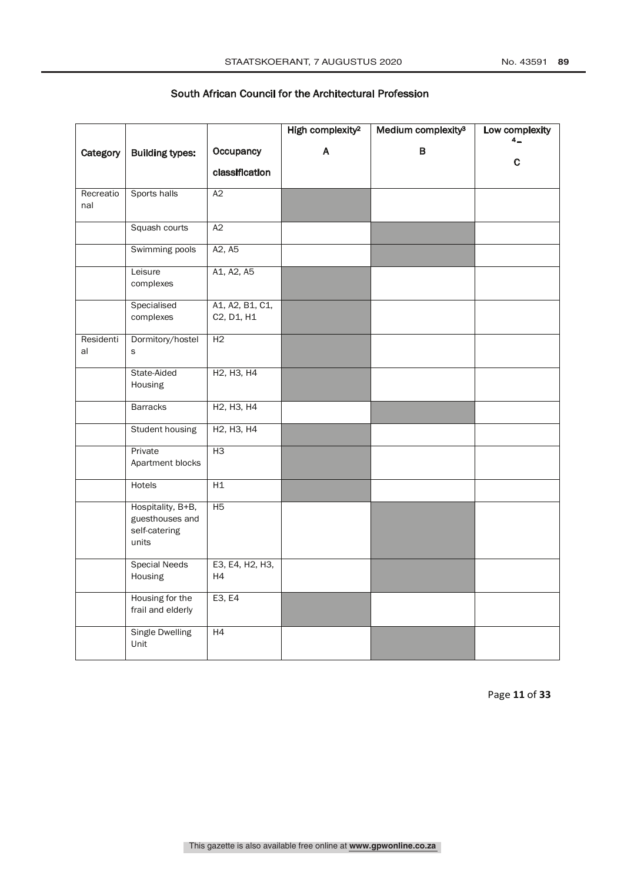|                  |                                                                |                                                  | High complexity <sup>2</sup> | Medium complexity <sup>3</sup> | Low complexity<br>4_ |
|------------------|----------------------------------------------------------------|--------------------------------------------------|------------------------------|--------------------------------|----------------------|
| Category         | <b>Building types:</b>                                         | Occupancy                                        | A                            | $\, {\bf B}$                   |                      |
|                  |                                                                | classification                                   |                              |                                | c                    |
|                  |                                                                |                                                  |                              |                                |                      |
| Recreatio<br>nal | Sports halls                                                   | $\overline{A2}$                                  |                              |                                |                      |
|                  | Squash courts                                                  | A2                                               |                              |                                |                      |
|                  | Swimming pools                                                 | A2, A5                                           |                              |                                |                      |
|                  | Leisure<br>complexes                                           | A1, A2, A5                                       |                              |                                |                      |
|                  | Specialised<br>complexes                                       | A1, A2, B1, C1,<br>C2, D1, H1                    |                              |                                |                      |
| Residenti<br>al  | Dormitory/hostel<br>s                                          | H <sub>2</sub>                                   |                              |                                |                      |
|                  | State-Aided<br>Housing                                         | H <sub>2</sub> , H <sub>3</sub> , H <sub>4</sub> |                              |                                |                      |
|                  | <b>Barracks</b>                                                | H <sub>2</sub> , H <sub>3</sub> , H <sub>4</sub> |                              |                                |                      |
|                  | Student housing                                                | H <sub>2</sub> , H <sub>3</sub> , H <sub>4</sub> |                              |                                |                      |
|                  | Private<br>Apartment blocks                                    | H3                                               |                              |                                |                      |
|                  | <b>Hotels</b>                                                  | H1                                               |                              |                                |                      |
|                  | Hospitality, B+B,<br>guesthouses and<br>self-catering<br>units | H5                                               |                              |                                |                      |
|                  | <b>Special Needs</b><br>Housing                                | E3, E4, H2, H3,<br>H4                            |                              |                                |                      |
|                  | Housing for the<br>frail and elderly                           | E3, E4                                           |                              |                                |                      |
|                  | <b>Single Dwelling</b><br>Unit                                 | H4                                               |                              |                                |                      |

Page **11** of **33**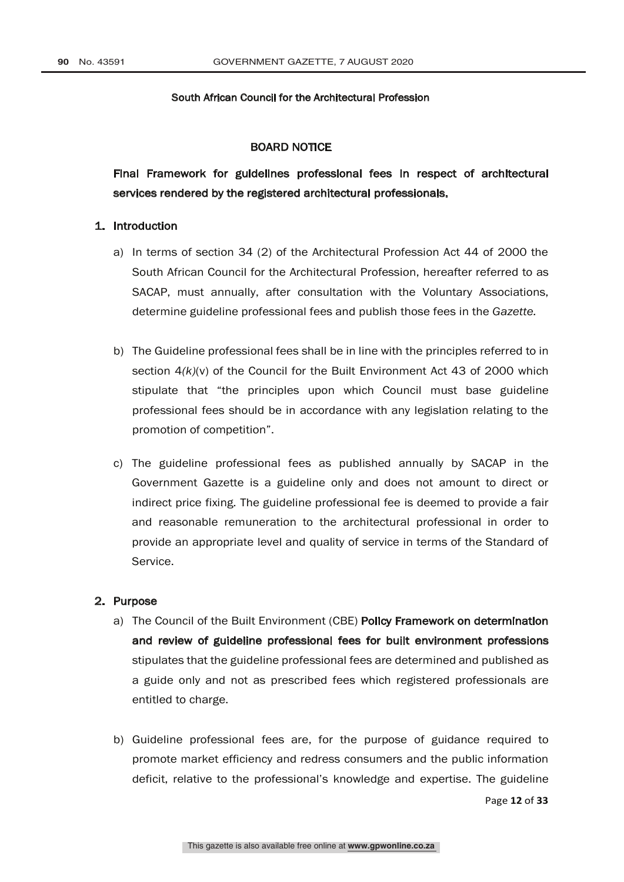#### BOARD NOTICE

Final Framework for guidelines professional fees in respect of architectural services rendered by the registered architectural professionals.

#### 1. Introduction

- a) In terms of section 34 (2) of the Architectural Profession Act 44 of 2000 the South African Council for the Architectural Profession, hereafter referred to as SACAP, must annually, after consultation with the Voluntary Associations, determine guideline professional fees and publish those fees in the *Gazette.*
- b) The Guideline professional fees shall be in line with the principles referred to in section 4*(k)*(v) of the Council for the Built Environment Act 43 of 2000 which stipulate that "the principles upon which Council must base guideline professional fees should be in accordance with any legislation relating to the promotion of competition".
- c) The guideline professional fees as published annually by SACAP in the Government Gazette is a guideline only and does not amount to direct or indirect price fixing. The guideline professional fee is deemed to provide a fair and reasonable remuneration to the architectural professional in order to provide an appropriate level and quality of service in terms of the Standard of Service.

#### 2. Purpose

- a) The Council of the Built Environment (CBE) Policy Framework on determination and review of guideline professional fees for built environment professions stipulates that the guideline professional fees are determined and published as a guide only and not as prescribed fees which registered professionals are entitled to charge.
- b) Guideline professional fees are, for the purpose of guidance required to promote market efficiency and redress consumers and the public information deficit, relative to the professional's knowledge and expertise. The guideline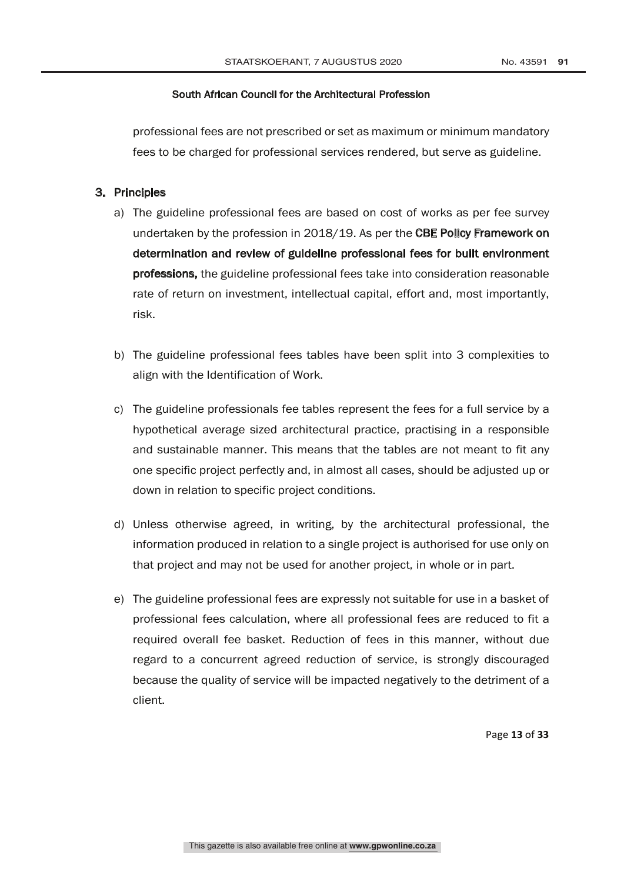professional fees are not prescribed or set as maximum or minimum mandatory fees to be charged for professional services rendered, but serve as guideline.

## 3. Principles

- a) The guideline professional fees are based on cost of works as per fee survey undertaken by the profession in 2018/19. As per the CBE Policy Framework on determination and review of guideline professional fees for built environment professions, the guideline professional fees take into consideration reasonable rate of return on investment, intellectual capital, effort and, most importantly, risk.
- b) The guideline professional fees tables have been split into 3 complexities to align with the Identification of Work.
- c) The guideline professionals fee tables represent the fees for a full service by a hypothetical average sized architectural practice, practising in a responsible and sustainable manner. This means that the tables are not meant to fit any one specific project perfectly and, in almost all cases, should be adjusted up or down in relation to specific project conditions.
- d) Unless otherwise agreed, in writing, by the architectural professional, the information produced in relation to a single project is authorised for use only on that project and may not be used for another project, in whole or in part.
- e) The guideline professional fees are expressly not suitable for use in a basket of professional fees calculation, where all professional fees are reduced to fit a required overall fee basket. Reduction of fees in this manner, without due regard to a concurrent agreed reduction of service, is strongly discouraged because the quality of service will be impacted negatively to the detriment of a client.

Page **13** of **33**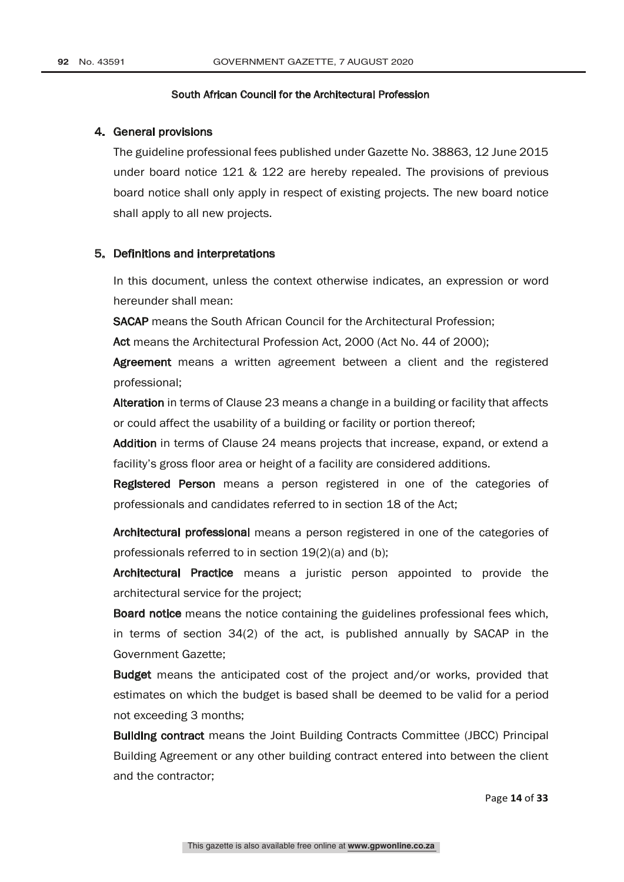#### 4. General provisions

The guideline professional fees published under Gazette No. 38863, 12 June 2015 under board notice 121 & 122 are hereby repealed. The provisions of previous board notice shall only apply in respect of existing projects. The new board notice shall apply to all new projects.

#### 5. Definitions and interpretations

In this document, unless the context otherwise indicates, an expression or word hereunder shall mean:

SACAP means the South African Council for the Architectural Profession;

Act means the Architectural Profession Act, 2000 (Act No. 44 of 2000);

Agreement means a written agreement between a client and the registered professional;

Alteration in terms of Clause 23 means a change in a building or facility that affects or could affect the usability of a building or facility or portion thereof;

Addition in terms of Clause 24 means projects that increase, expand, or extend a facility's gross floor area or height of a facility are considered additions.

**Registered Person** means a person registered in one of the categories of professionals and candidates referred to in section 18 of the Act;

Architectural professional means a person registered in one of the categories of professionals referred to in section 19(2)(a) and (b);

Architectural Practice means a juristic person appointed to provide the architectural service for the project;

Board notice means the notice containing the guidelines professional fees which, in terms of section 34(2) of the act, is published annually by SACAP in the Government Gazette;

Budget means the anticipated cost of the project and/or works, provided that estimates on which the budget is based shall be deemed to be valid for a period not exceeding 3 months;

Building contract means the Joint Building Contracts Committee (JBCC) Principal Building Agreement or any other building contract entered into between the client and the contractor;

Page **14** of **33**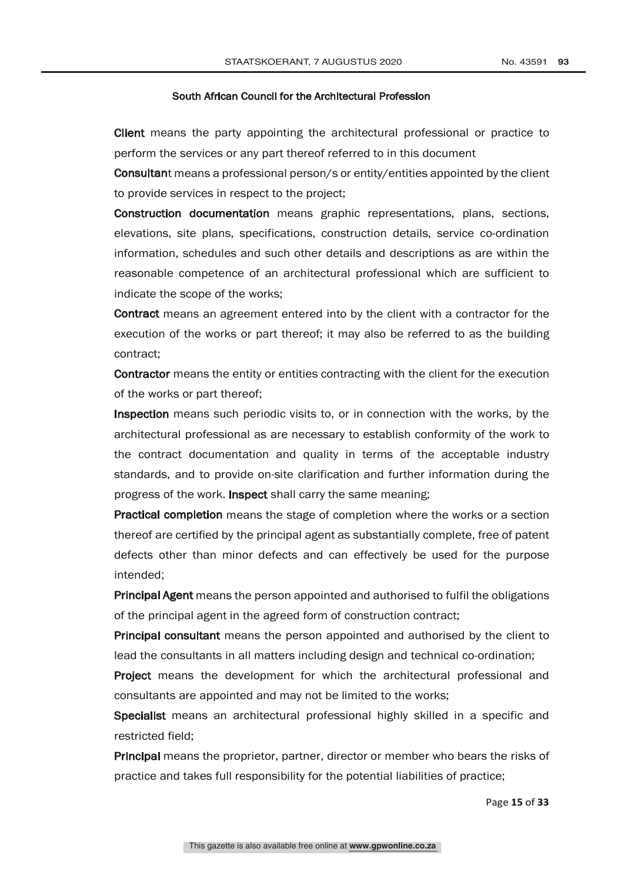Client means the party appointing the architectural professional or practice to perform the services or any part thereof referred to in this document

Consultant means a professional person/s or entity/entities appointed by the client to provide services in respect to the project;

Construction documentation means graphic representations, plans, sections, elevations, site plans, specifications, construction details, service co-ordination information, schedules and such other details and descriptions as are within the reasonable competence of an architectural professional which are sufficient to indicate the scope of the works;

Contract means an agreement entered into by the client with a contractor for the execution of the works or part thereof; it may also be referred to as the building contract;

Contractor means the entity or entities contracting with the client for the execution of the works or part thereof;

Inspection means such periodic visits to, or in connection with the works, by the architectural professional as are necessary to establish conformity of the work to the contract documentation and quality in terms of the acceptable industry standards, and to provide on-site clarification and further information during the progress of the work. Inspect shall carry the same meaning;

Practical completion means the stage of completion where the works or a section thereof are certified by the principal agent as substantially complete, free of patent defects other than minor defects and can effectively be used for the purpose intended;

Principal Agent means the person appointed and authorised to fulfil the obligations of the principal agent in the agreed form of construction contract;

Principal consultant means the person appointed and authorised by the client to lead the consultants in all matters including design and technical co-ordination;

Project means the development for which the architectural professional and consultants are appointed and may not be limited to the works;

Specialist means an architectural professional highly skilled in a specific and restricted field;

Principal means the proprietor, partner, director or member who bears the risks of practice and takes full responsibility for the potential liabilities of practice;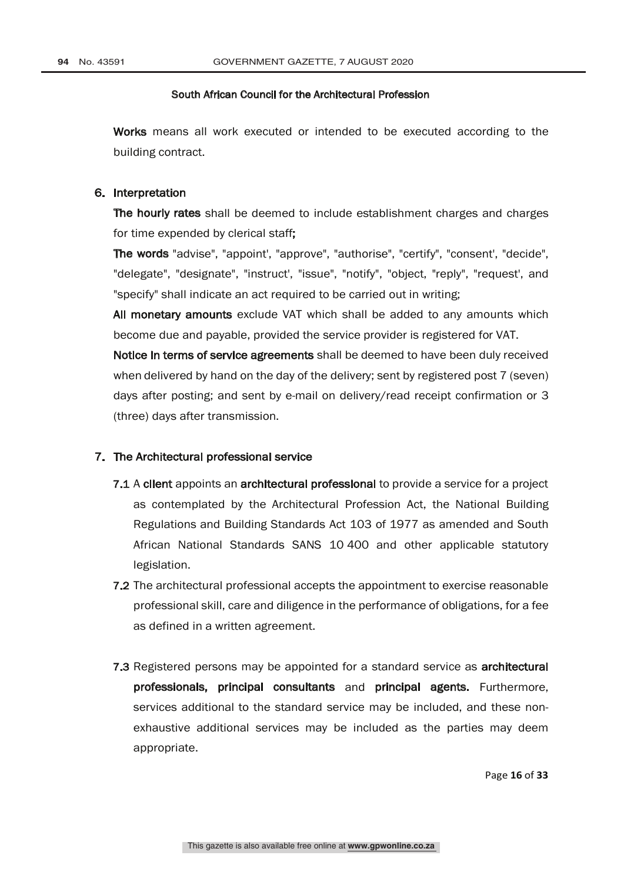Works means all work executed or intended to be executed according to the building contract.

#### 6. Interpretation

The hourly rates shall be deemed to include establishment charges and charges for time expended by clerical staff;

The words "advise", "appoint', "approve", "authorise", "certify", "consent', "decide", "delegate", "designate", "instruct', "issue", "notify", "object, "reply", "request', and "specify" shall indicate an act required to be carried out in writing;

All monetary amounts exclude VAT which shall be added to any amounts which become due and payable, provided the service provider is registered for VAT.

Notice in terms of service agreements shall be deemed to have been duly received when delivered by hand on the day of the delivery; sent by registered post 7 (seven) days after posting; and sent by e-mail on delivery/read receipt confirmation or 3 (three) days after transmission.

#### 7. The Architectural professional service

- 7.1 A client appoints an architectural professional to provide a service for a project as contemplated by the Architectural Profession Act, the National Building Regulations and Building Standards Act 103 of 1977 as amended and South African National Standards SANS 10 400 and other applicable statutory legislation.
- 7.2 The architectural professional accepts the appointment to exercise reasonable professional skill, care and diligence in the performance of obligations, for a fee as defined in a written agreement.
- **7.3** Registered persons may be appointed for a standard service as **architectural** professionals, principal consultants and principal agents. Furthermore, services additional to the standard service may be included, and these nonexhaustive additional services may be included as the parties may deem appropriate.

Page **16** of **33**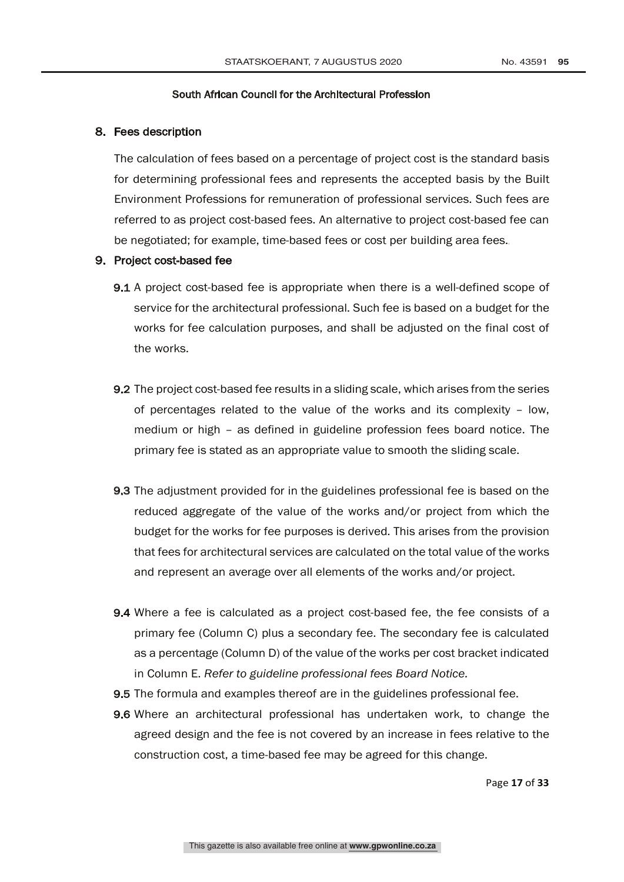## 8. Fees description

The calculation of fees based on a percentage of project cost is the standard basis for determining professional fees and represents the accepted basis by the Built Environment Professions for remuneration of professional services. Such fees are referred to as project cost-based fees. An alternative to project cost-based fee can be negotiated; for example, time-based fees or cost per building area fees.

## 9. Project cost-based fee

- 9.1 A project cost-based fee is appropriate when there is a well-defined scope of service for the architectural professional. Such fee is based on a budget for the works for fee calculation purposes, and shall be adjusted on the final cost of the works.
- 9.2 The project cost-based fee results in a sliding scale, which arises from the series of percentages related to the value of the works and its complexity – low, medium or high – as defined in guideline profession fees board notice. The primary fee is stated as an appropriate value to smooth the sliding scale.
- 9.3 The adjustment provided for in the guidelines professional fee is based on the reduced aggregate of the value of the works and/or project from which the budget for the works for fee purposes is derived. This arises from the provision that fees for architectural services are calculated on the total value of the works and represent an average over all elements of the works and/or project.
- 9.4 Where a fee is calculated as a project cost-based fee, the fee consists of a primary fee (Column C) plus a secondary fee. The secondary fee is calculated as a percentage (Column D) of the value of the works per cost bracket indicated in Column E. *Refer to guideline professional fees Board Notice.*
- 9.5 The formula and examples thereof are in the guidelines professional fee.
- 9.6 Where an architectural professional has undertaken work, to change the agreed design and the fee is not covered by an increase in fees relative to the construction cost, a time-based fee may be agreed for this change.

Page **17** of **33**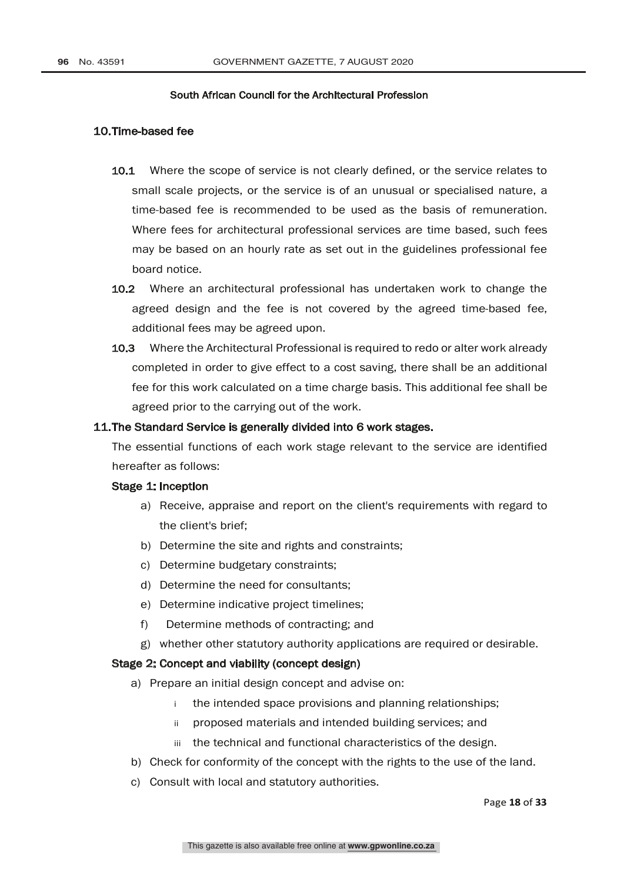## 10.Time-based fee

- 10.1 Where the scope of service is not clearly defined, or the service relates to small scale projects, or the service is of an unusual or specialised nature, a time-based fee is recommended to be used as the basis of remuneration. Where fees for architectural professional services are time based, such fees may be based on an hourly rate as set out in the guidelines professional fee board notice.
- 10.2 Where an architectural professional has undertaken work to change the agreed design and the fee is not covered by the agreed time-based fee, additional fees may be agreed upon.
- 10.3 Where the Architectural Professional is required to redo or alter work already completed in order to give effect to a cost saving, there shall be an additional fee for this work calculated on a time charge basis. This additional fee shall be agreed prior to the carrying out of the work.

#### 11.The Standard Service is generally divided into 6 work stages.

The essential functions of each work stage relevant to the service are identified hereafter as follows:

## Stage 1: Inception

- a) Receive, appraise and report on the client's requirements with regard to the client's brief;
- b) Determine the site and rights and constraints;
- c) Determine budgetary constraints;
- d) Determine the need for consultants;
- e) Determine indicative project timelines;
- f) Determine methods of contracting; and
- g) whether other statutory authority applications are required or desirable.

#### Stage 2: Concept and viability (concept design)

- a) Prepare an initial design concept and advise on:
	- i the intended space provisions and planning relationships;
	- ii proposed materials and intended building services; and
	- iii the technical and functional characteristics of the design.
- b) Check for conformity of the concept with the rights to the use of the land.
- c) Consult with local and statutory authorities.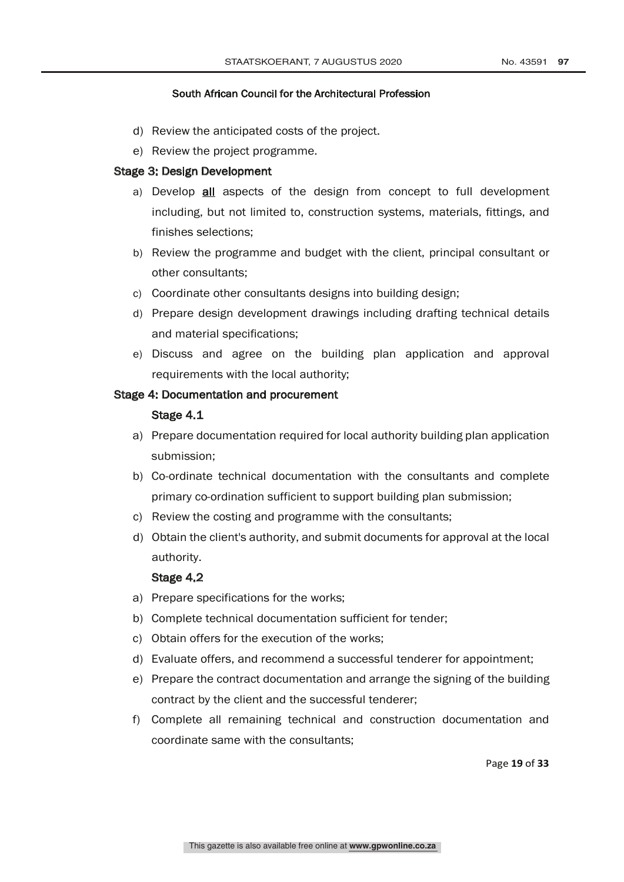- d) Review the anticipated costs of the project.
- e) Review the project programme.

#### Stage 3: Design Development

- a) Develop **all** aspects of the design from concept to full development including, but not limited to, construction systems, materials, fittings, and finishes selections;
- b) Review the programme and budget with the client, principal consultant or other consultants;
- c) Coordinate other consultants designs into building design;
- d) Prepare design development drawings including drafting technical details and material specifications;
- e) Discuss and agree on the building plan application and approval requirements with the local authority;

## Stage 4: Documentation and procurement

#### Stage 4.1

- a) Prepare documentation required for local authority building plan application submission;
- b) Co-ordinate technical documentation with the consultants and complete primary co-ordination sufficient to support building plan submission;
- c) Review the costing and programme with the consultants;
- d) Obtain the client's authority, and submit documents for approval at the local authority.

## Stage 4.2

- a) Prepare specifications for the works;
- b) Complete technical documentation sufficient for tender;
- c) Obtain offers for the execution of the works;
- d) Evaluate offers, and recommend a successful tenderer for appointment;
- e) Prepare the contract documentation and arrange the signing of the building contract by the client and the successful tenderer;
- f) Complete all remaining technical and construction documentation and coordinate same with the consultants;

Page **19** of **33**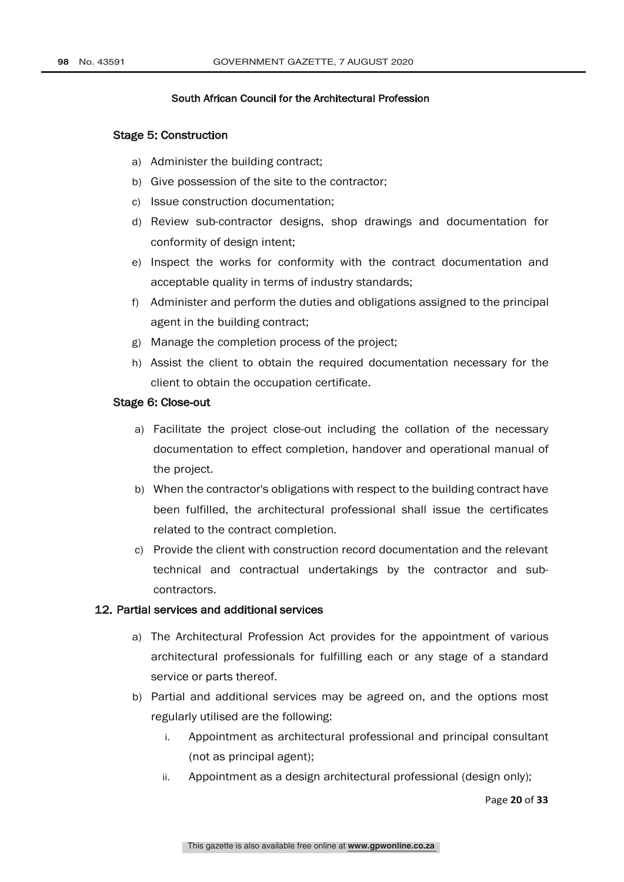#### Stage 5: Construction

- a) Administer the building contract;
- b) Give possession of the site to the contractor;
- c) Issue construction documentation;
- d) Review sub-contractor designs, shop drawings and documentation for conformity of design intent;
- e) Inspect the works for conformity with the contract documentation and acceptable quality in terms of industry standards;
- f) Administer and perform the duties and obligations assigned to the principal agent in the building contract;
- g) Manage the completion process of the project;
- h) Assist the client to obtain the required documentation necessary for the client to obtain the occupation certificate.

#### Stage 6: Close-out

- a) Facilitate the project close-out including the collation of the necessary documentation to effect completion, handover and operational manual of the project.
- b) When the contractor's obligations with respect to the building contract have been fulfilled, the architectural professional shall issue the certificates related to the contract completion.
- c) Provide the client with construction record documentation and the relevant technical and contractual undertakings by the contractor and subcontractors.

## 12. Partial services and additional services

- a) The Architectural Profession Act provides for the appointment of various architectural professionals for fulfilling each or any stage of a standard service or parts thereof.
- b) Partial and additional services may be agreed on, and the options most regularly utilised are the following:
	- i. Appointment as architectural professional and principal consultant (not as principal agent);
	- ii. Appointment as a design architectural professional (design only);

Page **20** of **33**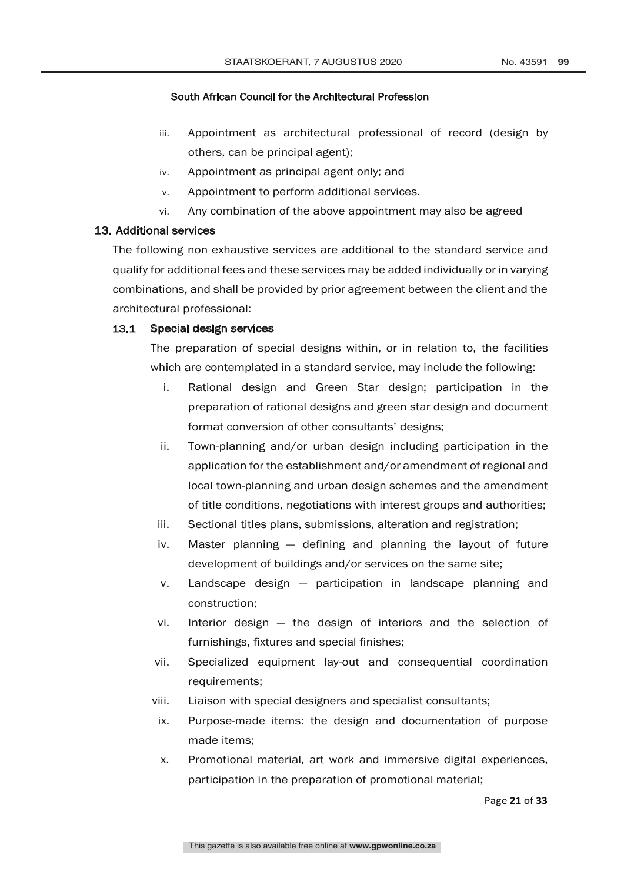- iii. Appointment as architectural professional of record (design by others, can be principal agent);
- iv. Appointment as principal agent only; and
- v. Appointment to perform additional services.
- vi. Any combination of the above appointment may also be agreed

## 13. Additional services

The following non exhaustive services are additional to the standard service and qualify for additional fees and these services may be added individually or in varying combinations, and shall be provided by prior agreement between the client and the architectural professional:

## 13.1 Special design services

The preparation of special designs within, or in relation to, the facilities which are contemplated in a standard service, may include the following:

- i. Rational design and Green Star design; participation in the preparation of rational designs and green star design and document format conversion of other consultants' designs;
- ii. Town-planning and/or urban design including participation in the application for the establishment and/or amendment of regional and local town-planning and urban design schemes and the amendment of title conditions, negotiations with interest groups and authorities;
- iii. Sectional titles plans, submissions, alteration and registration;
- iv. Master planning defining and planning the layout of future development of buildings and/or services on the same site;
- v. Landscape design participation in landscape planning and construction;
- vi. Interior design the design of interiors and the selection of furnishings, fixtures and special finishes;
- vii. Specialized equipment lay-out and consequential coordination requirements;
- viii. Liaison with special designers and specialist consultants;
- ix. Purpose-made items: the design and documentation of purpose made items;
- x. Promotional material, art work and immersive digital experiences, participation in the preparation of promotional material;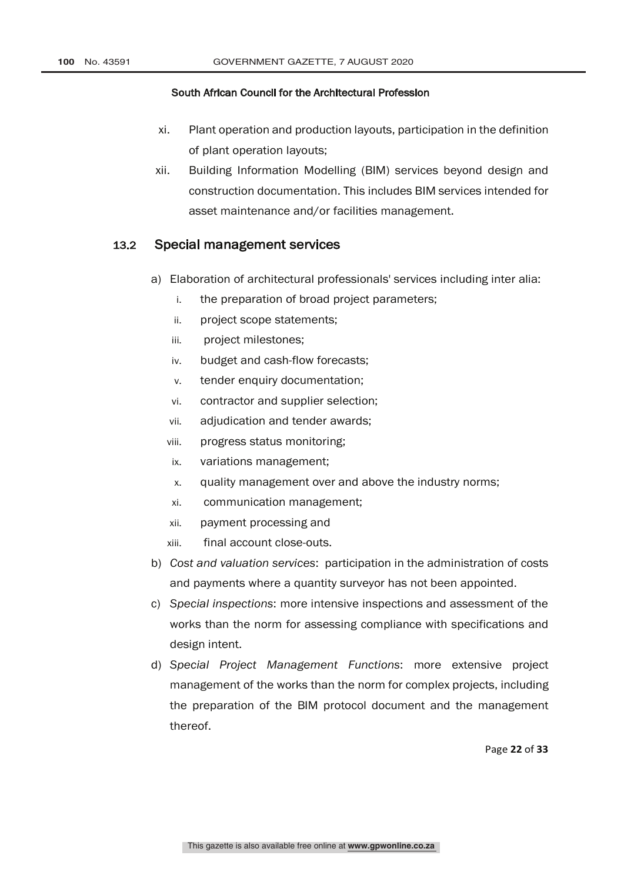- xi. Plant operation and production layouts, participation in the definition of plant operation layouts;
- xii. Building Information Modelling (BIM) services beyond design and construction documentation. This includes BIM services intended for asset maintenance and/or facilities management.

## 13.2 Special management services

- a) Elaboration of architectural professionals' services including inter alia:
	- i. the preparation of broad project parameters;
	- ii. project scope statements;
	- iii. project milestones;
	- iv. budget and cash-flow forecasts;
	- v. tender enquiry documentation;
	- vi. contractor and supplier selection;
	- vii. adjudication and tender awards;
	- viii. progress status monitoring;
	- ix. variations management;
	- x. quality management over and above the industry norms;
	- xi. communication management;
	- xii. payment processing and
	- xiii. final account close-outs.
- b) *Cost and valuation services*: participation in the administration of costs and payments where a quantity surveyor has not been appointed.
- c) *Special inspections*: more intensive inspections and assessment of the works than the norm for assessing compliance with specifications and design intent.
- d) *Special Project Management Functions*: more extensive project management of the works than the norm for complex projects, including the preparation of the BIM protocol document and the management thereof.

Page **22** of **33**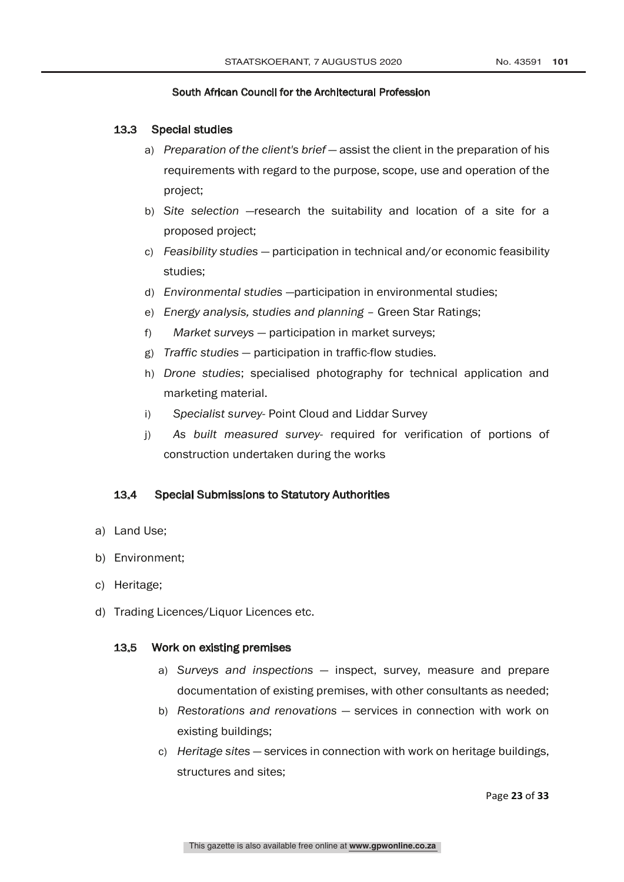## 13.3 Special studies

- a) *Preparation of the client's brief* assist the client in the preparation of his requirements with regard to the purpose, scope, use and operation of the project;
- b) *Site selection* —research the suitability and location of a site for a proposed project;
- c) *Feasibility studies* participation in technical and/or economic feasibility studies;
- d) *Environmental studies* —participation in environmental studies;
- e) *Energy analysis, studies and planning* Green Star Ratings;
- f) *Market surveys* participation in market surveys;
- g) *Traffic studies* participation in traffic-flow studies.
- h) *Drone studies*; specialised photography for technical application and marketing material.
- i) *Specialist survey* Point Cloud and Liddar Survey
- j) *As built measured survey* required for verification of portions of construction undertaken during the works

## 13.4 Special Submissions to Statutory Authorities

- a) Land Use;
- b) Environment;
- c) Heritage;
- d) Trading Licences/Liquor Licences etc.

## 13.5 Work on existing premises

- a) *Surveys and inspections* inspect, survey, measure and prepare documentation of existing premises, with other consultants as needed;
- b) *Restorations and renovations* services in connection with work on existing buildings;
- c) *Heritage sites* services in connection with work on heritage buildings, structures and sites;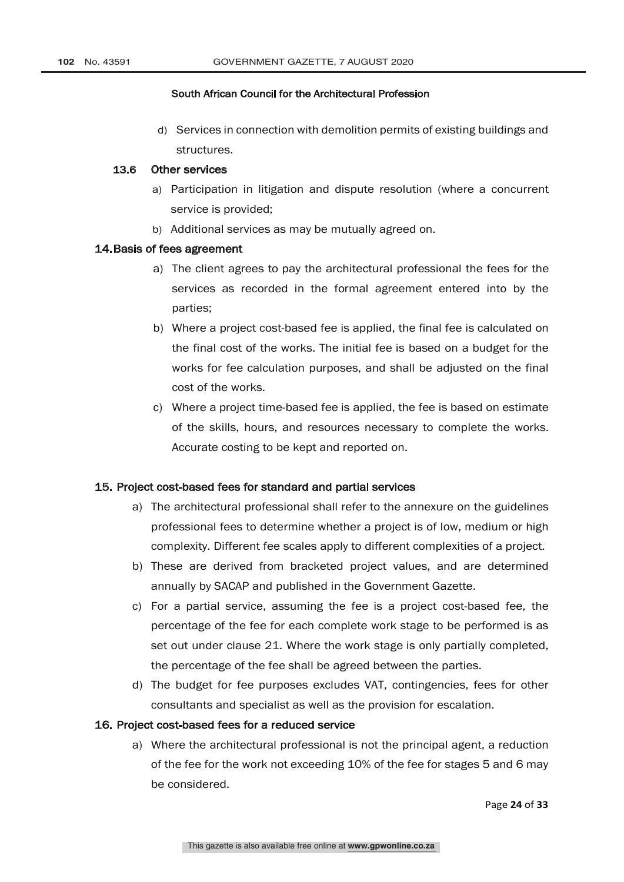d) Services in connection with demolition permits of existing buildings and structures.

## 13.6 Other services

- a) Participation in litigation and dispute resolution (where a concurrent service is provided;
- b) Additional services as may be mutually agreed on.

#### 14.Basis of fees agreement

- a) The client agrees to pay the architectural professional the fees for the services as recorded in the formal agreement entered into by the parties;
- b) Where a project cost-based fee is applied, the final fee is calculated on the final cost of the works. The initial fee is based on a budget for the works for fee calculation purposes, and shall be adjusted on the final cost of the works.
- c) Where a project time-based fee is applied, the fee is based on estimate of the skills, hours, and resources necessary to complete the works. Accurate costing to be kept and reported on.

#### 15. Project cost-based fees for standard and partial services

- a) The architectural professional shall refer to the annexure on the guidelines professional fees to determine whether a project is of low, medium or high complexity. Different fee scales apply to different complexities of a project.
- b) These are derived from bracketed project values, and are determined annually by SACAP and published in the Government Gazette.
- c) For a partial service, assuming the fee is a project cost-based fee, the percentage of the fee for each complete work stage to be performed is as set out under clause 21. Where the work stage is only partially completed, the percentage of the fee shall be agreed between the parties.
- d) The budget for fee purposes excludes VAT, contingencies, fees for other consultants and specialist as well as the provision for escalation.

#### 16. Project cost-based fees for a reduced service

a) Where the architectural professional is not the principal agent, a reduction of the fee for the work not exceeding 10% of the fee for stages 5 and 6 may be considered.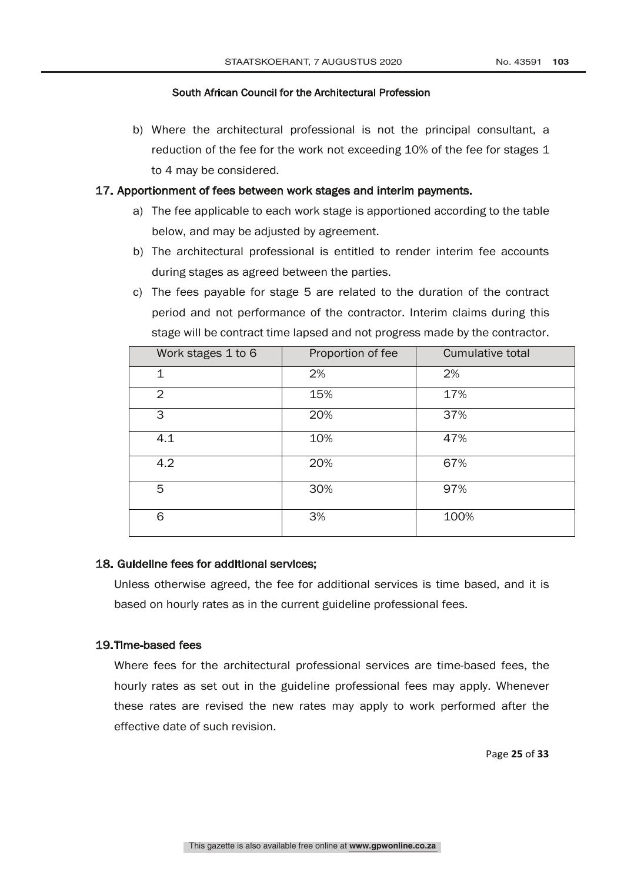b) Where the architectural professional is not the principal consultant, a reduction of the fee for the work not exceeding 10% of the fee for stages 1 to 4 may be considered.

## 17. Apportionment of fees between work stages and interim payments.

- a) The fee applicable to each work stage is apportioned according to the table below, and may be adjusted by agreement.
- b) The architectural professional is entitled to render interim fee accounts during stages as agreed between the parties.
- c) The fees payable for stage 5 are related to the duration of the contract period and not performance of the contractor. Interim claims during this stage will be contract time lapsed and not progress made by the contractor.

| Work stages 1 to 6 | Proportion of fee | Cumulative total |
|--------------------|-------------------|------------------|
| 1                  | 2%                | 2%               |
| $\overline{2}$     | 15%               | 17%              |
| 3                  | 20%               | 37%              |
| 4.1                | 10%               | 47%              |
| 4.2                | 20%               | 67%              |
| 5                  | 30%               | 97%              |
| 6                  | 3%                | 100%             |

#### 18. Guideline fees for additional services;

Unless otherwise agreed, the fee for additional services is time based, and it is based on hourly rates as in the current guideline professional fees.

## 19.Time-based fees

Where fees for the architectural professional services are time-based fees, the hourly rates as set out in the guideline professional fees may apply. Whenever these rates are revised the new rates may apply to work performed after the effective date of such revision.

Page **25** of **33**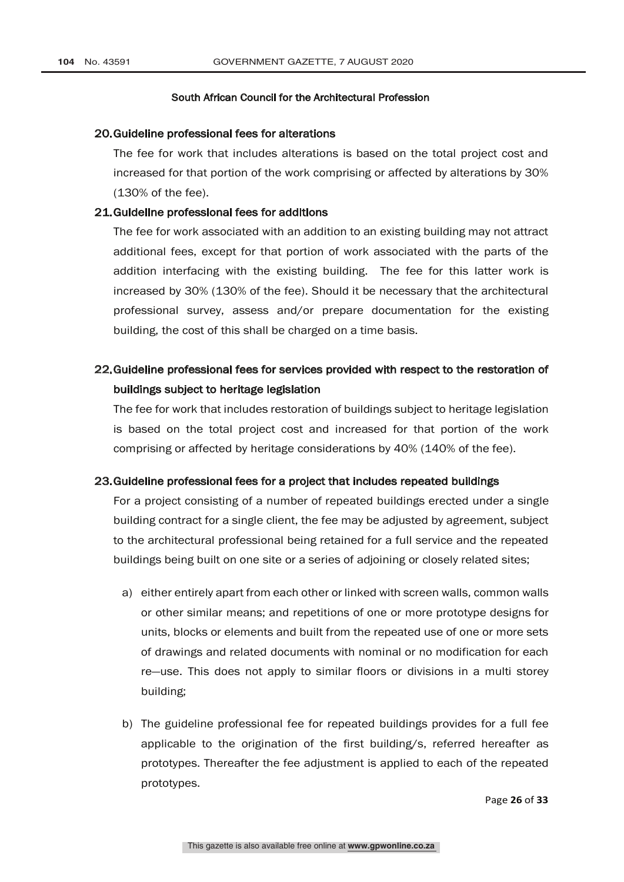#### 20.Guideline professional fees for alterations

The fee for work that includes alterations is based on the total project cost and increased for that portion of the work comprising or affected by alterations by 30% (130% of the fee).

#### 21.Guideline professional fees for additions

The fee for work associated with an addition to an existing building may not attract additional fees, except for that portion of work associated with the parts of the addition interfacing with the existing building. The fee for this latter work is increased by 30% (130% of the fee). Should it be necessary that the architectural professional survey, assess and/or prepare documentation for the existing building, the cost of this shall be charged on a time basis.

## 22.Guideline professional fees for services provided with respect to the restoration of buildings subject to heritage legislation

The fee for work that includes restoration of buildings subject to heritage legislation is based on the total project cost and increased for that portion of the work comprising or affected by heritage considerations by 40% (140% of the fee).

#### 23.Guideline professional fees for a project that includes repeated buildings

For a project consisting of a number of repeated buildings erected under a single building contract for a single client, the fee may be adjusted by agreement, subject to the architectural professional being retained for a full service and the repeated buildings being built on one site or a series of adjoining or closely related sites;

- a) either entirely apart from each other or linked with screen walls, common walls or other similar means; and repetitions of one or more prototype designs for units, blocks or elements and built from the repeated use of one or more sets of drawings and related documents with nominal or no modification for each re—use. This does not apply to similar floors or divisions in a multi storey building;
- b) The guideline professional fee for repeated buildings provides for a full fee applicable to the origination of the first building/s, referred hereafter as prototypes. Thereafter the fee adjustment is applied to each of the repeated prototypes.

Page **26** of **33**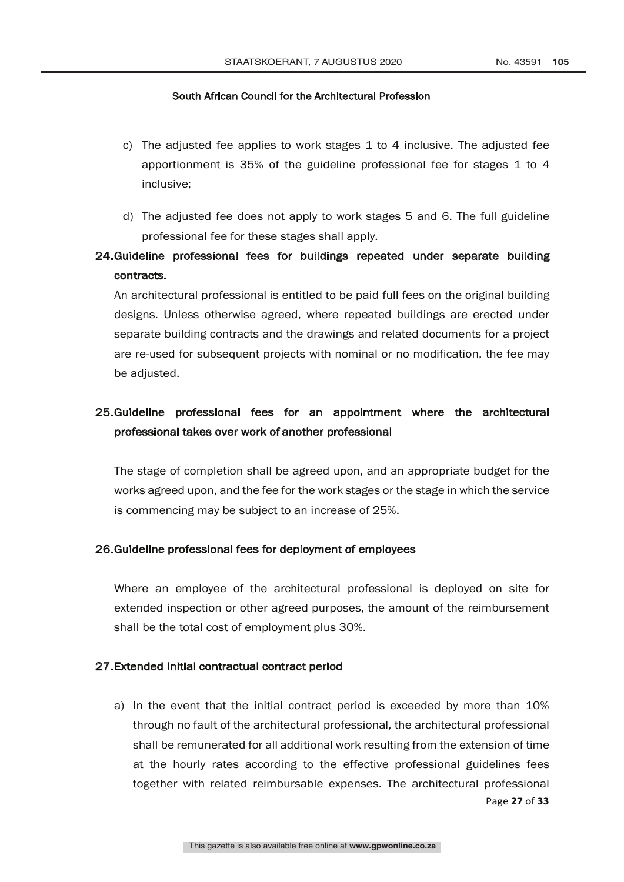- c) The adjusted fee applies to work stages 1 to 4 inclusive. The adjusted fee apportionment is 35% of the guideline professional fee for stages 1 to 4 inclusive;
- d) The adjusted fee does not apply to work stages 5 and 6. The full guideline professional fee for these stages shall apply.

# 24.Guideline professional fees for buildings repeated under separate building contracts.

An architectural professional is entitled to be paid full fees on the original building designs. Unless otherwise agreed, where repeated buildings are erected under separate building contracts and the drawings and related documents for a project are re-used for subsequent projects with nominal or no modification, the fee may be adjusted.

# 25.Guideline professional fees for an appointment where the architectural professional takes over work of another professional

The stage of completion shall be agreed upon, and an appropriate budget for the works agreed upon, and the fee for the work stages or the stage in which the service is commencing may be subject to an increase of 25%.

#### 26.Guideline professional fees for deployment of employees

Where an employee of the architectural professional is deployed on site for extended inspection or other agreed purposes, the amount of the reimbursement shall be the total cost of employment plus 30%.

#### 27.Extended initial contractual contract period

Page **27** of **33** a) In the event that the initial contract period is exceeded by more than 10% through no fault of the architectural professional, the architectural professional shall be remunerated for all additional work resulting from the extension of time at the hourly rates according to the effective professional guidelines fees together with related reimbursable expenses. The architectural professional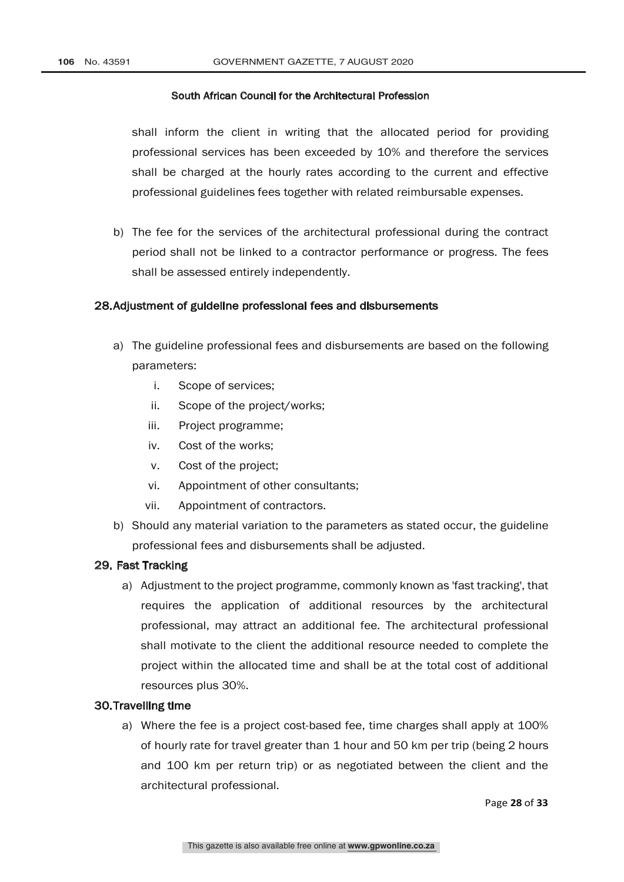shall inform the client in writing that the allocated period for providing professional services has been exceeded by 10% and therefore the services shall be charged at the hourly rates according to the current and effective professional guidelines fees together with related reimbursable expenses.

b) The fee for the services of the architectural professional during the contract period shall not be linked to a contractor performance or progress. The fees shall be assessed entirely independently.

## 28.Adjustment of guideline professional fees and disbursements

- a) The guideline professional fees and disbursements are based on the following parameters:
	- i. Scope of services;
	- ii. Scope of the project/works;
	- iii. Project programme;
	- iv. Cost of the works;
	- v. Cost of the project;
	- vi. Appointment of other consultants;
	- vii. Appointment of contractors.
- b) Should any material variation to the parameters as stated occur, the guideline professional fees and disbursements shall be adjusted.

## 29. Fast Tracking

a) Adjustment to the project programme, commonly known as 'fast tracking', that requires the application of additional resources by the architectural professional, may attract an additional fee. The architectural professional shall motivate to the client the additional resource needed to complete the project within the allocated time and shall be at the total cost of additional resources plus 30%.

## 30.Travelling time

a) Where the fee is a project cost-based fee, time charges shall apply at 100% of hourly rate for travel greater than 1 hour and 50 km per trip (being 2 hours and 100 km per return trip) or as negotiated between the client and the architectural professional.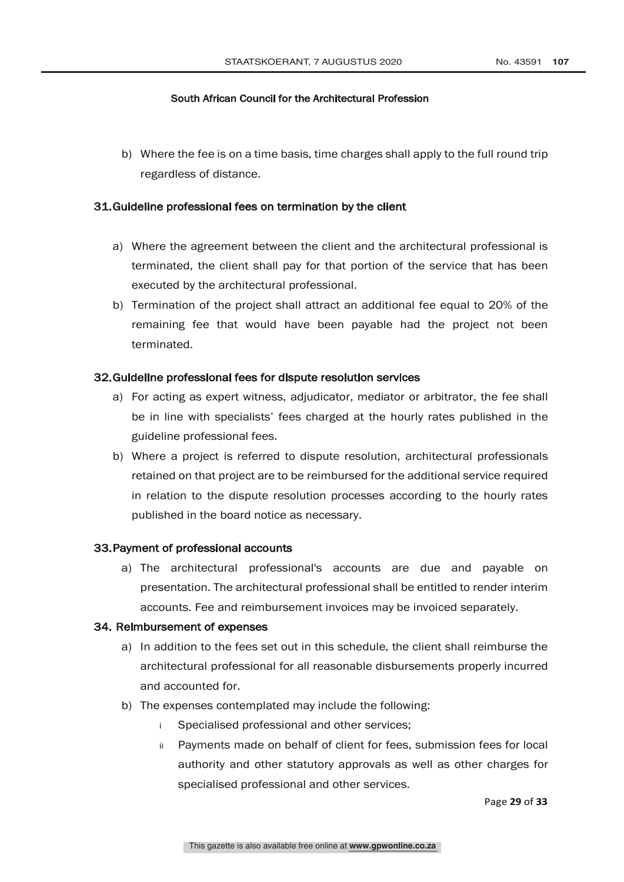b) Where the fee is on a time basis, time charges shall apply to the full round trip regardless of distance.

## 31.Guideline professional fees on termination by the client

- a) Where the agreement between the client and the architectural professional is terminated, the client shall pay for that portion of the service that has been executed by the architectural professional.
- b) Termination of the project shall attract an additional fee equal to 20% of the remaining fee that would have been payable had the project not been terminated.

#### 32.Guideline professional fees for dispute resolution services

- a) For acting as expert witness, adjudicator, mediator or arbitrator, the fee shall be in line with specialists' fees charged at the hourly rates published in the guideline professional fees.
- b) Where a project is referred to dispute resolution, architectural professionals retained on that project are to be reimbursed for the additional service required in relation to the dispute resolution processes according to the hourly rates published in the board notice as necessary.

## 33.Payment of professional accounts

a) The architectural professional's accounts are due and payable on presentation. The architectural professional shall be entitled to render interim accounts. Fee and reimbursement invoices may be invoiced separately.

## 34. Reimbursement of expenses

- a) In addition to the fees set out in this schedule, the client shall reimburse the architectural professional for all reasonable disbursements properly incurred and accounted for.
- b) The expenses contemplated may include the following:
	- i Specialised professional and other services;
	- ii Payments made on behalf of client for fees, submission fees for local authority and other statutory approvals as well as other charges for specialised professional and other services.

Page **29** of **33**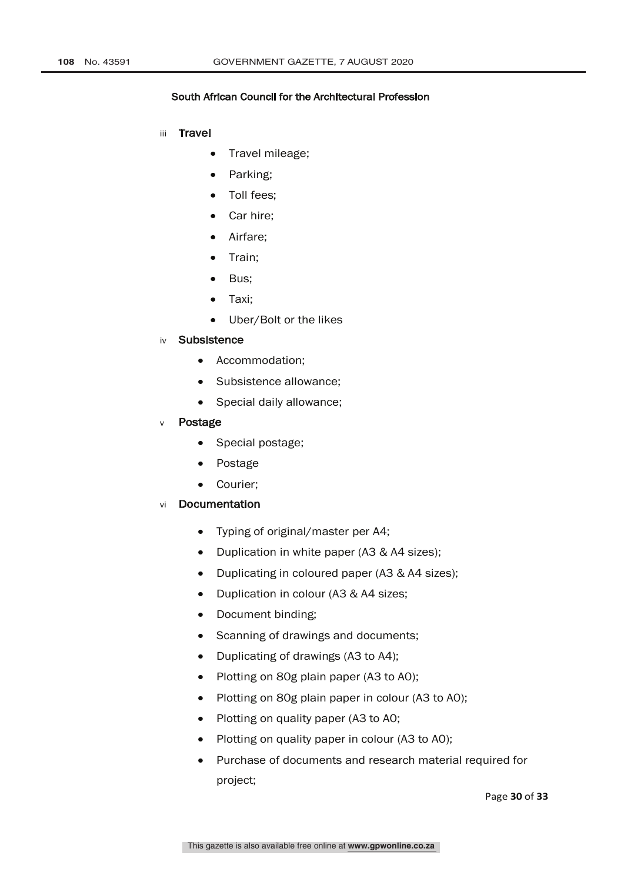- iii Travel
	- Travel mileage;
	- Parking;
	- Toll fees;
	- Car hire;
	- Airfare;
	- Train;
	- Bus;
	- Taxi;
	- Uber/Bolt or the likes
- iv Subsistence
	- Accommodation;
	- Subsistence allowance;
	- Special daily allowance;
- Postage
	- Special postage;
	- Postage
	- Courier;
- vi Documentation
	- Typing of original/master per A4;
	- Duplication in white paper (A3 & A4 sizes);
	- Duplicating in coloured paper (A3 & A4 sizes);
	- Duplication in colour (A3 & A4 sizes;
	- Document binding;
	- Scanning of drawings and documents;
	- Duplicating of drawings (A3 to A4);
	- Plotting on 80g plain paper (A3 to A0);
	- Plotting on 80g plain paper in colour (A3 to A0);
	- Plotting on quality paper (A3 to A0;
	- Plotting on quality paper in colour (A3 to A0);
	- Purchase of documents and research material required for project;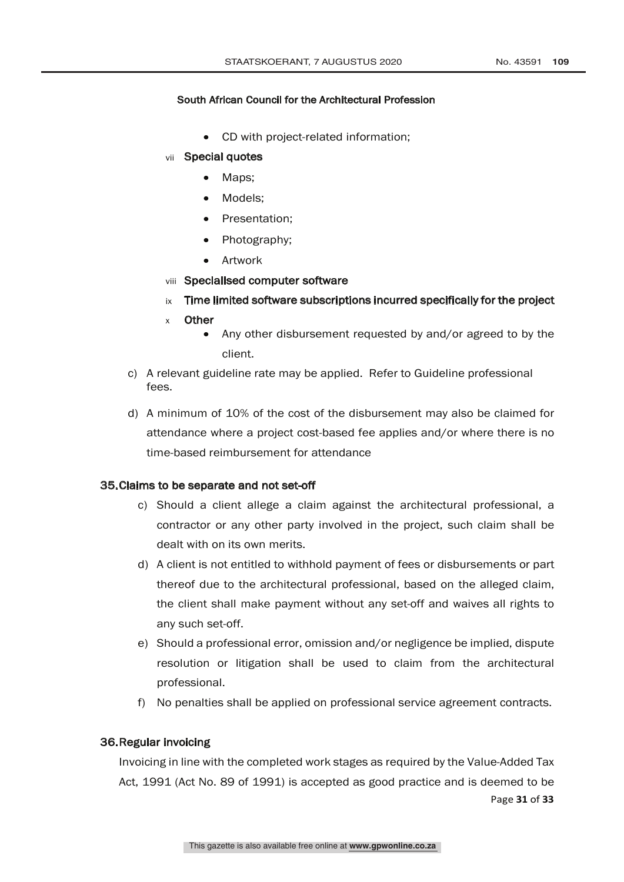- CD with project-related information;
- vii Special quotes
	- Maps;
	- Models:
	- Presentation;
	- Photography;
	- Artwork
- viii Specialised computer software
- ix Time limited software subscriptions incurred specifically for the project
- x Other
	- Any other disbursement requested by and/or agreed to by the client.
- c) A relevant guideline rate may be applied. Refer to Guideline professional fees.
- d) A minimum of 10% of the cost of the disbursement may also be claimed for attendance where a project cost-based fee applies and/or where there is no time-based reimbursement for attendance

#### 35.Claims to be separate and not set-off

- c) Should a client allege a claim against the architectural professional, a contractor or any other party involved in the project, such claim shall be dealt with on its own merits.
- d) A client is not entitled to withhold payment of fees or disbursements or part thereof due to the architectural professional, based on the alleged claim, the client shall make payment without any set-off and waives all rights to any such set-off.
- e) Should a professional error, omission and/or negligence be implied, dispute resolution or litigation shall be used to claim from the architectural professional.
- f) No penalties shall be applied on professional service agreement contracts.

## 36.Regular invoicing

Page **31** of **33** Invoicing in line with the completed work stages as required by the Value-Added Tax Act, 1991 (Act No. 89 of 1991) is accepted as good practice and is deemed to be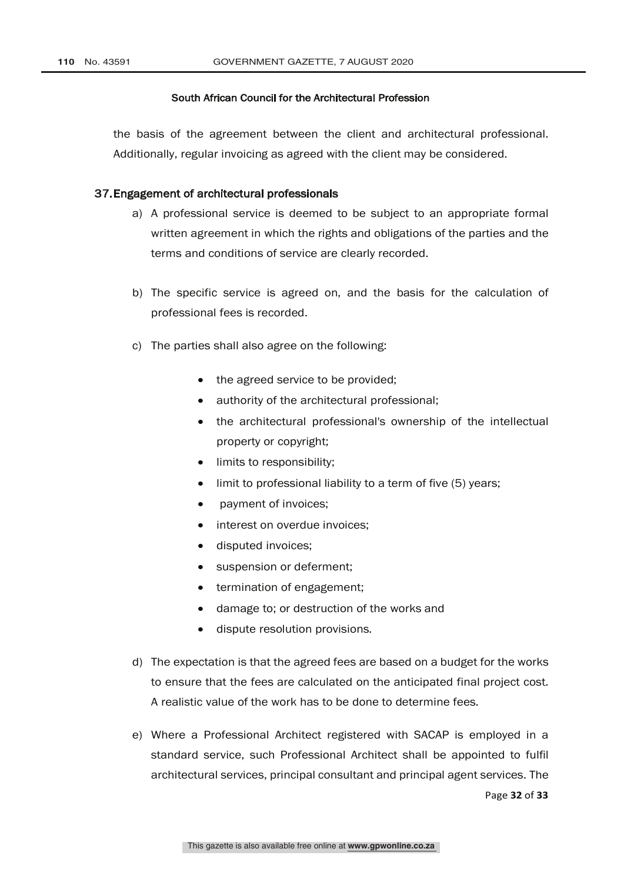the basis of the agreement between the client and architectural professional. Additionally, regular invoicing as agreed with the client may be considered.

#### 37.Engagement of architectural professionals

- a) A professional service is deemed to be subject to an appropriate formal written agreement in which the rights and obligations of the parties and the terms and conditions of service are clearly recorded.
- b) The specific service is agreed on, and the basis for the calculation of professional fees is recorded.
- c) The parties shall also agree on the following:
	- the agreed service to be provided;
	- authority of the architectural professional;
	- the architectural professional's ownership of the intellectual property or copyright;
	- limits to responsibility;
	- limit to professional liability to a term of five (5) years;
	- payment of invoices;
	- interest on overdue invoices;
	- disputed invoices;
	- suspension or deferment;
	- termination of engagement;
	- damage to; or destruction of the works and
	- dispute resolution provisions.
- d) The expectation is that the agreed fees are based on a budget for the works to ensure that the fees are calculated on the anticipated final project cost. A realistic value of the work has to be done to determine fees.
- e) Where a Professional Architect registered with SACAP is employed in a standard service, such Professional Architect shall be appointed to fulfil architectural services, principal consultant and principal agent services. The

Page **32** of **33**